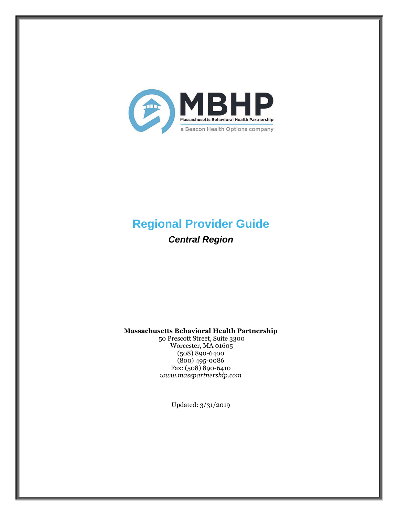

# **Regional Provider Guide**

*Central Region*

**Massachusetts Behavioral Health Partnership**

50 Prescott Street, Suite 3300 Worcester, MA 01605 (508) 890-6400 (800) 495-0086 Fax: (508) 890-6410 *www.masspartnership.com*

Updated: 3/31/2019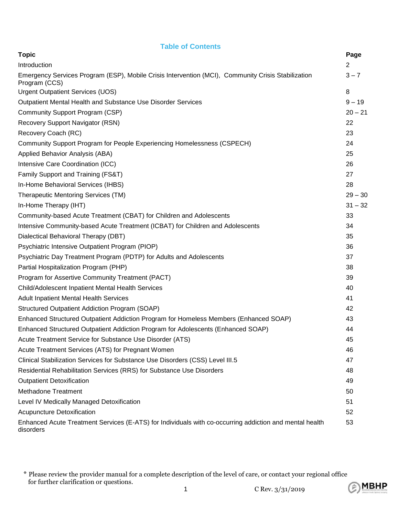#### **Table of Contents**

| <b>Topic</b>                                                                                                         | Page      |
|----------------------------------------------------------------------------------------------------------------------|-----------|
| Introduction                                                                                                         | 2         |
| Emergency Services Program (ESP), Mobile Crisis Intervention (MCI), Community Crisis Stabilization<br>Program (CCS)  | $3 - 7$   |
| <b>Urgent Outpatient Services (UOS)</b>                                                                              | 8         |
| Outpatient Mental Health and Substance Use Disorder Services                                                         | $9 - 19$  |
| Community Support Program (CSP)                                                                                      | $20 - 21$ |
| Recovery Support Navigator (RSN)                                                                                     | 22        |
| Recovery Coach (RC)                                                                                                  | 23        |
| Community Support Program for People Experiencing Homelessness (CSPECH)                                              | 24        |
| Applied Behavior Analysis (ABA)                                                                                      | 25        |
| Intensive Care Coordination (ICC)                                                                                    | 26        |
| Family Support and Training (FS&T)                                                                                   | 27        |
| In-Home Behavioral Services (IHBS)                                                                                   | 28        |
| Therapeutic Mentoring Services (TM)                                                                                  | $29 - 30$ |
| In-Home Therapy (IHT)                                                                                                | $31 - 32$ |
| Community-based Acute Treatment (CBAT) for Children and Adolescents                                                  | 33        |
| Intensive Community-based Acute Treatment (ICBAT) for Children and Adolescents                                       | 34        |
| Dialectical Behavioral Therapy (DBT)                                                                                 | 35        |
| Psychiatric Intensive Outpatient Program (PIOP)                                                                      | 36        |
| Psychiatric Day Treatment Program (PDTP) for Adults and Adolescents                                                  | 37        |
| Partial Hospitalization Program (PHP)                                                                                | 38        |
| Program for Assertive Community Treatment (PACT)                                                                     | 39        |
| Child/Adolescent Inpatient Mental Health Services                                                                    | 40        |
| Adult Inpatient Mental Health Services                                                                               | 41        |
| Structured Outpatient Addiction Program (SOAP)                                                                       | 42        |
| Enhanced Structured Outpatient Addiction Program for Homeless Members (Enhanced SOAP)                                | 43        |
| Enhanced Structured Outpatient Addiction Program for Adolescents (Enhanced SOAP)                                     | 44        |
| Acute Treatment Service for Substance Use Disorder (ATS)                                                             | 45        |
| Acute Treatment Services (ATS) for Pregnant Women                                                                    | 46        |
| Clinical Stabilization Services for Substance Use Disorders (CSS) Level III.5                                        | 47        |
| Residential Rehabilitation Services (RRS) for Substance Use Disorders                                                | 48        |
| <b>Outpatient Detoxification</b>                                                                                     | 49        |
| <b>Methadone Treatment</b>                                                                                           | 50        |
| Level IV Medically Managed Detoxification                                                                            | 51        |
| Acupuncture Detoxification                                                                                           | 52        |
| Enhanced Acute Treatment Services (E-ATS) for Individuals with co-occurring addiction and mental health<br>disorders | 53        |

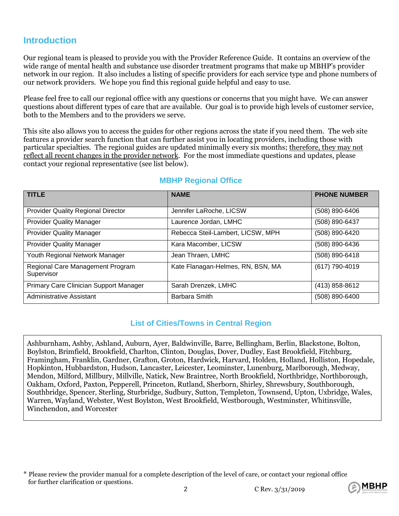### **Introduction**

Our regional team is pleased to provide you with the Provider Reference Guide. It contains an overview of the wide range of mental health and substance use disorder treatment programs that make up MBHP's provider network in our region. It also includes a listing of specific providers for each service type and phone numbers of our network providers. We hope you find this regional guide helpful and easy to use.

Please feel free to call our regional office with any questions or concerns that you might have. We can answer questions about different types of care that are available. Our goal is to provide high levels of customer service, both to the Members and to the providers we serve.

This site also allows you to access the guides for other regions across the state if you need them. The web site features a provider search function that can further assist you in locating providers, including those with particular specialties. The regional guides are updated minimally every six months; therefore, they may not reflect all recent changes in the provider network. For the most immediate questions and updates, please contact your regional representative (see list below).

| <b>TITLE</b>                                   | <b>NAME</b>                       | <b>PHONE NUMBER</b> |
|------------------------------------------------|-----------------------------------|---------------------|
| <b>Provider Quality Regional Director</b>      | Jennifer LaRoche, LICSW           | (508) 890-6406      |
| <b>Provider Quality Manager</b>                | Laurence Jordan, LMHC             | (508) 890-6437      |
| <b>Provider Quality Manager</b>                | Rebecca Steil-Lambert, LICSW, MPH | (508) 890-6420      |
| <b>Provider Quality Manager</b>                | Kara Macomber, LICSW              | (508) 890-6436      |
| Youth Regional Network Manager                 | Jean Thraen, LMHC                 | (508) 890-6418      |
| Regional Care Management Program<br>Supervisor | Kate Flanagan-Helmes, RN, BSN, MA | (617) 790-4019      |
| Primary Care Clinician Support Manager         | Sarah Drenzek, LMHC               | (413) 858-8612      |
| Administrative Assistant                       | Barbara Smith                     | $(508) 890 - 6400$  |

### **MBHP Regional Office**

### **List of Cities/Towns in Central Region**

Ashburnham, Ashby, Ashland, Auburn, Ayer, Baldwinville, Barre, Bellingham, Berlin, Blackstone, Bolton, Boylston, Brimfield, Brookfield, Charlton, Clinton, Douglas, Dover, Dudley, East Brookfield, Fitchburg, Framingham, Franklin, Gardner, Grafton, Groton, Hardwick, Harvard, Holden, Holland, Holliston, Hopedale, Hopkinton, Hubbardston, Hudson, Lancaster, Leicester, Leominster, Lunenburg, Marlborough, Medway, Mendon, Milford, Millbury, Millville, Natick, New Braintree, North Brookfield, Northbridge, Northborough, Oakham, Oxford, Paxton, Pepperell, Princeton, Rutland, Sherborn, Shirley, Shrewsbury, Southborough, Southbridge, Spencer, Sterling, Sturbridge, Sudbury, Sutton, Templeton, Townsend, Upton, Uxbridge, Wales, Warren, Wayland, Webster, West Boylston, West Brookfield, Westborough, Westminster, Whitinsville, Winchendon, and Worcester



<sup>\*</sup> Please review the provider manual for a complete description of the level of care, or contact your regional office for further clarification or questions.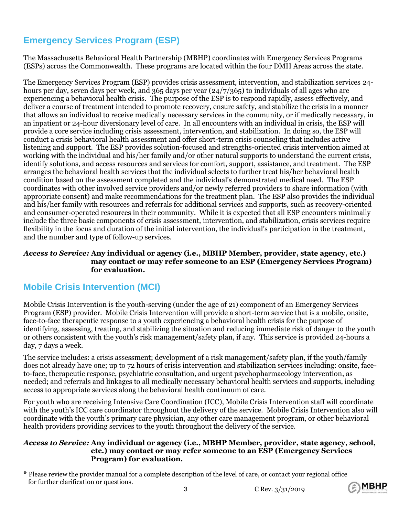# **Emergency Services Program (ESP)**

The Massachusetts Behavioral Health Partnership (MBHP) coordinates with Emergency Services Programs (ESPs) across the Commonwealth. These programs are located within the four DMH Areas across the state.

The Emergency Services Program (ESP) provides crisis assessment, intervention, and stabilization services 24 hours per day, seven days per week, and 365 days per year (24/7/365) to individuals of all ages who are experiencing a behavioral health crisis. The purpose of the ESP is to respond rapidly, assess effectively, and deliver a course of treatment intended to promote recovery, ensure safety, and stabilize the crisis in a manner that allows an individual to receive medically necessary services in the community, or if medically necessary, in an inpatient or 24-hour diversionary level of care. In all encounters with an individual in crisis, the ESP will provide a core service including crisis assessment, intervention, and stabilization. In doing so, the ESP will conduct a crisis behavioral health assessment and offer short-term crisis counseling that includes active listening and support. The ESP provides solution-focused and strengths-oriented crisis intervention aimed at working with the individual and his/her family and/or other natural supports to understand the current crisis, identify solutions, and access resources and services for comfort, support, assistance, and treatment. The ESP arranges the behavioral health services that the individual selects to further treat his/her behavioral health condition based on the assessment completed and the individual's demonstrated medical need. The ESP coordinates with other involved service providers and/or newly referred providers to share information (with appropriate consent) and make recommendations for the treatment plan. The ESP also provides the individual and his/her family with resources and referrals for additional services and supports, such as recovery-oriented and consumer-operated resources in their community. While it is expected that all ESP encounters minimally include the three basic components of crisis assessment, intervention, and stabilization, crisis services require flexibility in the focus and duration of the initial intervention, the individual's participation in the treatment, and the number and type of follow-up services.

#### *Access to Service:* **Any individual or agency (i.e., MBHP Member, provider, state agency, etc.) may contact or may refer someone to an ESP (Emergency Services Program) for evaluation.**

## **Mobile Crisis Intervention (MCI)**

Mobile Crisis Intervention is the youth-serving (under the age of 21) component of an Emergency Services Program (ESP) provider. Mobile Crisis Intervention will provide a short-term service that is a mobile, onsite, face-to-face therapeutic response to a youth experiencing a behavioral health crisis for the purpose of identifying, assessing, treating, and stabilizing the situation and reducing immediate risk of danger to the youth or others consistent with the youth's risk management/safety plan, if any. This service is provided 24-hours a day, 7 days a week.

The service includes: a crisis assessment; development of a risk management/safety plan, if the youth/family does not already have one; up to 72 hours of crisis intervention and stabilization services including: onsite, faceto-face, therapeutic response, psychiatric consultation, and urgent psychopharmacology intervention, as needed; and referrals and linkages to all medically necessary behavioral health services and supports, including access to appropriate services along the behavioral health continuum of care.

For youth who are receiving Intensive Care Coordination (ICC), Mobile Crisis Intervention staff will coordinate with the youth's ICC care coordinator throughout the delivery of the service. Mobile Crisis Intervention also will coordinate with the youth's primary care physician, any other care management program, or other behavioral health providers providing services to the youth throughout the delivery of the service.

#### *Access to Service:* **Any individual or agency (i.e., MBHP Member, provider, state agency, school, etc.) may contact or may refer someone to an ESP (Emergency Services Program) for evaluation.**



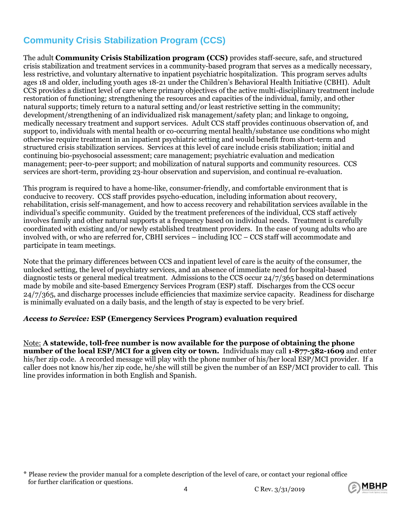# **Community Crisis Stabilization Program (CCS)**

The adult **Community Crisis Stabilization program (CCS)** provides staff-secure, safe, and structured crisis stabilization and treatment services in a community-based program that serves as a medically necessary, less restrictive, and voluntary alternative to inpatient psychiatric hospitalization. This program serves adults ages 18 and older, including youth ages 18-21 under the Children's Behavioral Health Initiative (CBHI). Adult CCS provides a distinct level of care where primary objectives of the active multi-disciplinary treatment include restoration of functioning; strengthening the resources and capacities of the individual, family, and other natural supports; timely return to a natural setting and/or least restrictive setting in the community; development/strengthening of an individualized risk management/safety plan; and linkage to ongoing, medically necessary treatment and support services. Adult CCS staff provides continuous observation of, and support to, individuals with mental health or co-occurring mental health/substance use conditions who might otherwise require treatment in an inpatient psychiatric setting and would benefit from short-term and structured crisis stabilization services. Services at this level of care include crisis stabilization; initial and continuing bio-psychosocial assessment; care management; psychiatric evaluation and medication management; peer-to-peer support; and mobilization of natural supports and community resources. CCS services are short-term, providing 23-hour observation and supervision, and continual re-evaluation.

This program is required to have a home-like, consumer-friendly, and comfortable environment that is conducive to recovery. CCS staff provides psycho-education, including information about recovery, rehabilitation, crisis self-management, and how to access recovery and rehabilitation services available in the individual's specific community. Guided by the treatment preferences of the individual, CCS staff actively involves family and other natural supports at a frequency based on individual needs. Treatment is carefully coordinated with existing and/or newly established treatment providers. In the case of young adults who are involved with, or who are referred for, CBHI services – including ICC – CCS staff will accommodate and participate in team meetings.

Note that the primary differences between CCS and inpatient level of care is the acuity of the consumer, the unlocked setting, the level of psychiatry services, and an absence of immediate need for hospital-based diagnostic tests or general medical treatment. Admissions to the CCS occur 24/7/365 based on determinations made by mobile and site-based Emergency Services Program (ESP) staff. Discharges from the CCS occur 24/7/365, and discharge processes include efficiencies that maximize service capacity. Readiness for discharge is minimally evaluated on a daily basis, and the length of stay is expected to be very brief.

#### *Access to Service:* **ESP (Emergency Services Program) evaluation required**

Note: **A statewide, toll-free number is now available for the purpose of obtaining the phone number of the local ESP/MCI for a given city or town.** Individuals may call **1-877-382-1609** and enter his/her zip code. A recorded message will play with the phone number of his/her local ESP/MCI provider. If a caller does not know his/her zip code, he/she will still be given the number of an ESP/MCI provider to call. This line provides information in both English and Spanish.



<sup>\*</sup> Please review the provider manual for a complete description of the level of care, or contact your regional office for further clarification or questions.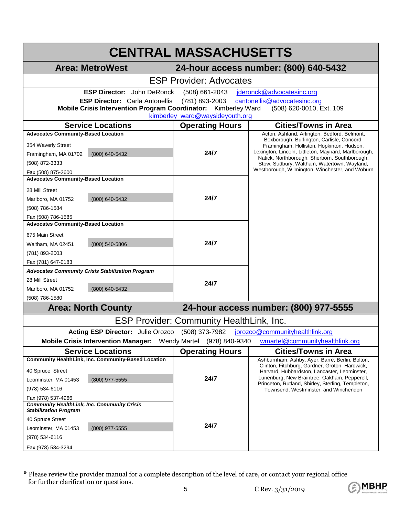|                                                                                                                                              | <b>CENTRAL MASSACHUSETTS</b>                      |                                                                                                      |  |
|----------------------------------------------------------------------------------------------------------------------------------------------|---------------------------------------------------|------------------------------------------------------------------------------------------------------|--|
| <b>Area: MetroWest</b>                                                                                                                       | 24-hour access number: (800) 640-5432             |                                                                                                      |  |
|                                                                                                                                              | <b>ESP Provider: Advocates</b>                    |                                                                                                      |  |
| <b>ESP Director:</b> John DeRonck<br><b>ESP Director:</b> Carla Antonellis<br>Mobile Crisis Intervention Program Coordinator: Kimberley Ward | (508) 661-2043<br>kimberley_ward@waysideyouth.org | jderonck@advocatesinc.org<br>(781) 893-2003 cantonellis@advocatesinc.org<br>(508) 620-0010, Ext. 109 |  |
| <b>Service Locations</b>                                                                                                                     | <b>Operating Hours</b>                            | <b>Cities/Towns in Area</b>                                                                          |  |
| <b>Advocates Community-Based Location</b>                                                                                                    |                                                   | Acton, Ashland, Arlington, Bedford, Belmont,                                                         |  |
| 354 Waverly Street                                                                                                                           |                                                   | Boxborough, Burlington, Carlisle, Concord,<br>Framingham, Holliston, Hopkinton, Hudson,              |  |
| (800) 640-5432<br>Framingham, MA 01702                                                                                                       | 24/7                                              | Lexington, Lincoln, Littleton, Maynard, Marlborough,                                                 |  |
| (508) 872-3333                                                                                                                               |                                                   | Natick, Northborough, Sherborn, Southborough,<br>Stow, Sudbury, Waltham, Watertown, Wayland,         |  |
| Fax (508) 875-2600                                                                                                                           |                                                   | Westborough, Wilmington, Winchester, and Woburn                                                      |  |
| <b>Advocates Community-Based Location</b>                                                                                                    |                                                   |                                                                                                      |  |
| 28 Mill Street                                                                                                                               |                                                   |                                                                                                      |  |
| (800) 640-5432<br>Marlboro, MA 01752                                                                                                         | 24/7                                              |                                                                                                      |  |
| (508) 786-1584                                                                                                                               |                                                   |                                                                                                      |  |
| Fax (508) 786-1585                                                                                                                           |                                                   |                                                                                                      |  |
| <b>Advocates Community-Based Location</b>                                                                                                    |                                                   |                                                                                                      |  |
| 675 Main Street                                                                                                                              |                                                   |                                                                                                      |  |
| (800) 540-5806<br>Waltham, MA 02451                                                                                                          | 24/7                                              |                                                                                                      |  |
| (781) 893-2003                                                                                                                               |                                                   |                                                                                                      |  |
| Fax (781) 647-0183                                                                                                                           |                                                   |                                                                                                      |  |
| <b>Advocates Community Crisis Stabilization Program</b>                                                                                      |                                                   |                                                                                                      |  |
| 28 Mill Street                                                                                                                               | 24/7                                              |                                                                                                      |  |
| (800) 640-5432<br>Marlboro, MA 01752                                                                                                         |                                                   |                                                                                                      |  |
| (508) 786-1580                                                                                                                               |                                                   |                                                                                                      |  |
| <b>Area: North County</b>                                                                                                                    |                                                   | 24-hour access number: (800) 977-5555                                                                |  |
|                                                                                                                                              | <b>ESP Provider: Community HealthLink, Inc.</b>   |                                                                                                      |  |
| Acting ESP Director: Julie Orozco (508) 373-7982 jorozco@communityhealthlink.org                                                             |                                                   |                                                                                                      |  |
| <b>Mobile Crisis Intervention Manager:</b>                                                                                                   | Wendy Martel (978) 840-9340                       | wmartel@communityhealthlink.org                                                                      |  |
| <b>Service Locations</b>                                                                                                                     | <b>Operating Hours</b>                            | <b>Cities/Towns in Area</b>                                                                          |  |
| <b>Community HealthLink, Inc. Community-Based Location</b>                                                                                   |                                                   | Ashburnham, Ashby, Ayer, Barre, Berlin, Bolton,<br>Clinton, Fitchburg, Gardner, Groton, Hardwick,    |  |
| 40 Spruce Street                                                                                                                             |                                                   | Harvard, Hubbardston, Lancaster, Leominster,                                                         |  |
| (800) 977-5555<br>Leominster, MA 01453                                                                                                       | 24/7                                              | Lunenburg, New Braintree, Oakham, Pepperell,<br>Princeton, Rutland, Shirley, Sterling, Templeton,    |  |
| (978) 534-6116                                                                                                                               |                                                   | Townsend, Westminster, and Winchendon                                                                |  |
| Fax (978) 537-4966<br><b>Community HealthLink, Inc. Community Crisis</b><br><b>Stabilization Program</b>                                     |                                                   |                                                                                                      |  |
| 40 Spruce Street                                                                                                                             |                                                   |                                                                                                      |  |
| (800) 977-5555<br>Leominster, MA 01453                                                                                                       | 24/7                                              |                                                                                                      |  |
| (978) 534-6116                                                                                                                               |                                                   |                                                                                                      |  |
| Fax (978) 534-3294                                                                                                                           |                                                   |                                                                                                      |  |

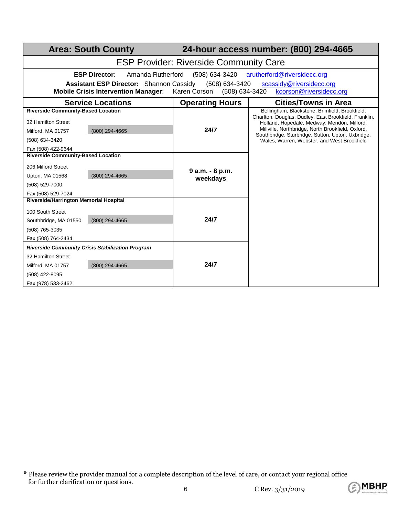|                                           | <b>Area: South County</b>                               |                                               | 24-hour access number: (800) 294-4665                                                                  |
|-------------------------------------------|---------------------------------------------------------|-----------------------------------------------|--------------------------------------------------------------------------------------------------------|
|                                           |                                                         | <b>ESP Provider: Riverside Community Care</b> |                                                                                                        |
|                                           | <b>ESP Director:</b><br>Amanda Rutherford               | (508) 634-3420                                | arutherford@riversidecc.org                                                                            |
|                                           | Assistant ESP Director: Shannon Cassidy (508) 634-3420  |                                               | scassidy@riversidecc.org                                                                               |
|                                           | <b>Mobile Crisis Intervention Manager:</b>              | (508) 634-3420<br>Karen Corson                | kcorson@riversidecc.org                                                                                |
|                                           | <b>Service Locations</b>                                | <b>Operating Hours</b>                        | <b>Cities/Towns in Area</b>                                                                            |
| <b>Riverside Community-Based Location</b> |                                                         |                                               | Bellingham, Blackstone, Brimfield, Brookfield,                                                         |
| 32 Hamilton Street                        |                                                         |                                               | Charlton, Douglas, Dudley, East Brookfield, Franklin,<br>Holland, Hopedale, Medway, Mendon, Milford,   |
| Milford, MA 01757                         | (800) 294-4665                                          | 24/7                                          | Millville, Northbridge, North Brookfield, Oxford,<br>Southbridge, Sturbridge, Sutton, Upton, Uxbridge, |
| (508) 634-3420                            |                                                         |                                               | Wales, Warren, Webster, and West Brookfield                                                            |
| Fax (508) 422-9644                        |                                                         |                                               |                                                                                                        |
| <b>Riverside Community-Based Location</b> |                                                         |                                               |                                                                                                        |
| 206 Milford Street                        |                                                         |                                               |                                                                                                        |
| Upton, MA 01568                           | (800) 294-4665                                          | 9 a.m. - 8 p.m.<br>weekdays                   |                                                                                                        |
| (508) 529-7000                            |                                                         |                                               |                                                                                                        |
| Fax (508) 529-7024                        |                                                         |                                               |                                                                                                        |
| Riverside/Harrington Memorial Hospital    |                                                         |                                               |                                                                                                        |
| 100 South Street                          |                                                         |                                               |                                                                                                        |
| Southbridge, MA 01550                     | (800) 294-4665                                          | 24/7                                          |                                                                                                        |
| (508) 765-3035                            |                                                         |                                               |                                                                                                        |
| Fax (508) 764-2434                        |                                                         |                                               |                                                                                                        |
|                                           | <b>Riverside Community Crisis Stabilization Program</b> |                                               |                                                                                                        |
| 32 Hamilton Street                        |                                                         |                                               |                                                                                                        |
| Milford, MA 01757                         | (800) 294-4665                                          | 24/7                                          |                                                                                                        |
| (508) 422-8095                            |                                                         |                                               |                                                                                                        |
| Fax (978) 533-2462                        |                                                         |                                               |                                                                                                        |



<sup>\*</sup> Please review the provider manual for a complete description of the level of care, or contact your regional office for further clarification or questions.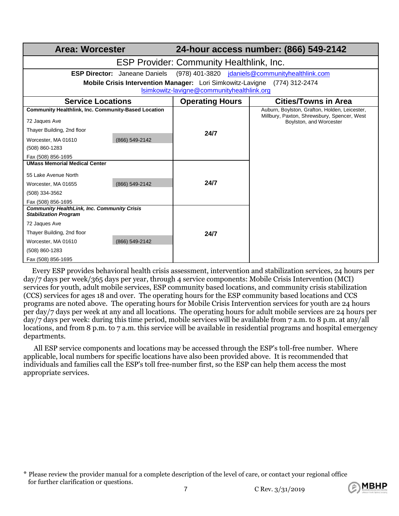| <b>Area: Worcester</b>                                                             |                                                 |                                                                                                                         | 24-hour access number: (866) 549-2142                                                        |
|------------------------------------------------------------------------------------|-------------------------------------------------|-------------------------------------------------------------------------------------------------------------------------|----------------------------------------------------------------------------------------------|
|                                                                                    | <b>ESP Provider: Community Healthlink, Inc.</b> |                                                                                                                         |                                                                                              |
|                                                                                    | <b>ESP Director:</b> Janeane Daniels            |                                                                                                                         | (978) 401-3820 jdaniels@communityhealthlink.com                                              |
|                                                                                    |                                                 | Mobile Crisis Intervention Manager: Lori Simkowitz-Lavigne (774) 312-2474<br>Isimkowitz-lavigne@communityhealthlink.org |                                                                                              |
| <b>Service Locations</b>                                                           |                                                 |                                                                                                                         | <b>Cities/Towns in Area</b>                                                                  |
|                                                                                    |                                                 | <b>Operating Hours</b>                                                                                                  |                                                                                              |
| <b>Community Healthlink, Inc. Community-Based Location</b>                         |                                                 |                                                                                                                         | Auburn, Boylston, Grafton, Holden, Leicester,<br>Millbury, Paxton, Shrewsbury, Spencer, West |
| 72 Jaques Ave                                                                      |                                                 |                                                                                                                         | Boylston, and Worcester                                                                      |
| Thayer Building, 2nd floor                                                         |                                                 | 24/7                                                                                                                    |                                                                                              |
| Worcester, MA 01610                                                                | (866) 549-2142                                  |                                                                                                                         |                                                                                              |
| (508) 860-1283                                                                     |                                                 |                                                                                                                         |                                                                                              |
| Fax (508) 856-1695                                                                 |                                                 |                                                                                                                         |                                                                                              |
| <b>UMass Memorial Medical Center</b>                                               |                                                 |                                                                                                                         |                                                                                              |
| 55 Lake Avenue North                                                               |                                                 |                                                                                                                         |                                                                                              |
| Worcester, MA 01655                                                                | (866) 549-2142                                  | 24/7                                                                                                                    |                                                                                              |
| (508) 334-3562                                                                     |                                                 |                                                                                                                         |                                                                                              |
| Fax (508) 856-1695                                                                 |                                                 |                                                                                                                         |                                                                                              |
| <b>Community HealthLink, Inc. Community Crisis</b><br><b>Stabilization Program</b> |                                                 |                                                                                                                         |                                                                                              |
| 72 Jaques Ave                                                                      |                                                 |                                                                                                                         |                                                                                              |
| Thayer Building, 2nd floor                                                         |                                                 | 24/7                                                                                                                    |                                                                                              |
| Worcester, MA 01610                                                                | (866) 549-2142                                  |                                                                                                                         |                                                                                              |
| (508) 860-1283                                                                     |                                                 |                                                                                                                         |                                                                                              |
| Fax (508) 856-1695                                                                 |                                                 |                                                                                                                         |                                                                                              |

 Every ESP provides behavioral health crisis assessment, intervention and stabilization services, 24 hours per day/7 days per week/365 days per year, through 4 service components: Mobile Crisis Intervention (MCI) services for youth, adult mobile services, ESP community based locations, and community crisis stabilization (CCS) services for ages 18 and over. The operating hours for the ESP community based locations and CCS programs are noted above. The operating hours for Mobile Crisis Intervention services for youth are 24 hours per day/7 days per week at any and all locations. The operating hours for adult mobile services are 24 hours per day/7 days per week: during this time period, mobile services will be available from 7 a.m. to 8 p.m. at any/all locations, and from 8 p.m. to 7 a.m. this service will be available in residential programs and hospital emergency departments.

 All ESP service components and locations may be accessed through the ESP's toll-free number. Where applicable, local numbers for specific locations have also been provided above. It is recommended that individuals and families call the ESP's toll free-number first, so the ESP can help them access the most appropriate services.



<sup>\*</sup> Please review the provider manual for a complete description of the level of care, or contact your regional office for further clarification or questions.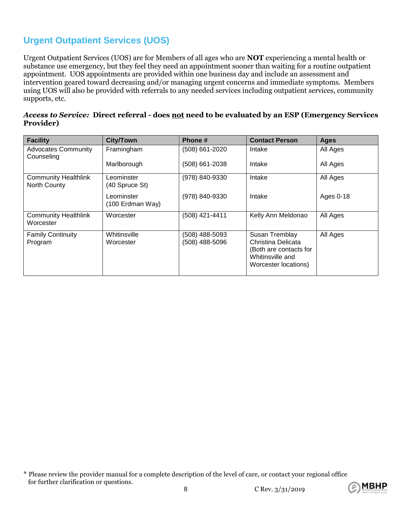# **Urgent Outpatient Services (UOS)**

Urgent Outpatient Services (UOS) are for Members of all ages who are **NOT** experiencing a mental health or substance use emergency, but they feel they need an appointment sooner than waiting for a routine outpatient appointment. UOS appointments are provided within one business day and include an assessment and intervention geared toward decreasing and/or managing urgent concerns and immediate symptoms. Members using UOS will also be provided with referrals to any needed services including outpatient services, community supports, etc.

#### *Access to Service:* **Direct referral - does not need to be evaluated by an ESP (Emergency Services Provider)**

| <b>Facility</b>                                    | <b>City/Town</b>               | Phone #                          | <b>Contact Person</b>                                                                                      | <b>Ages</b> |
|----------------------------------------------------|--------------------------------|----------------------------------|------------------------------------------------------------------------------------------------------------|-------------|
| <b>Advocates Community</b><br>Counseling           | Framingham                     | (508) 661-2020                   | Intake                                                                                                     | All Ages    |
|                                                    | Marlborough                    | (508) 661-2038                   | Intake                                                                                                     | All Ages    |
| <b>Community Healthlink</b><br><b>North County</b> | Leominster<br>$(40$ Spruce St) | (978) 840-9330                   | Intake                                                                                                     | All Ages    |
|                                                    | Leominster<br>(100 Erdman Way) | (978) 840-9330                   | Intake                                                                                                     | Ages 0-18   |
| <b>Community Healthlink</b><br>Worcester           | Worcester                      | (508) 421-4411                   | Kelly Ann Meldonao                                                                                         | All Ages    |
| <b>Family Continuity</b><br>Program                | Whitinsville<br>Worcester      | (508) 488-5093<br>(508) 488-5096 | Susan Tremblay<br>Christina Delicata<br>(Both are contacts for<br>Whitinsville and<br>Worcester locations) | All Ages    |



<sup>\*</sup> Please review the provider manual for a complete description of the level of care, or contact your regional office for further clarification or questions. 8 C Rev. 3/31/2019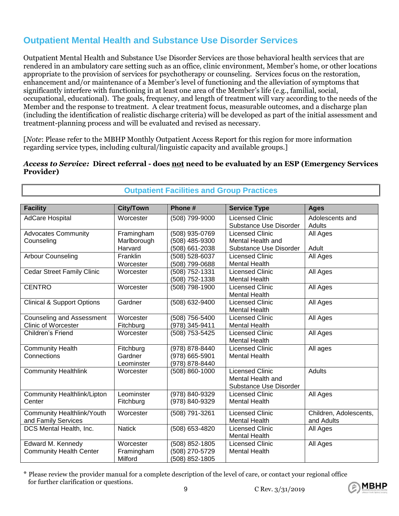## **Outpatient Mental Health and Substance Use Disorder Services**

Outpatient Mental Health and Substance Use Disorder Services are those behavioral health services that are rendered in an ambulatory care setting such as an office, clinic environment, Member's home, or other locations appropriate to the provision of services for psychotherapy or counseling. Services focus on the restoration, enhancement and/or maintenance of a Member's level of functioning and the alleviation of symptoms that significantly interfere with functioning in at least one area of the Member's life (e.g., familial, social, occupational, educational). The goals, frequency, and length of treatment will vary according to the needs of the Member and the response to treatment. A clear treatment focus, measurable outcomes, and a discharge plan (including the identification of realistic discharge criteria) will be developed as part of the initial assessment and treatment-planning process and will be evaluated and revised as necessary.

[*Note*: Please refer to the MBHP Monthly Outpatient Access Report for this region for more information regarding service types, including cultural/linguistic capacity and available groups.]

#### *Access to Service:* **Direct referral - does not need to be evaluated by an ESP (Emergency Services Provider)**

| <b>Facility</b>                       | <b>City/Town</b> | Phone #        | <b>Service Type</b>           | <b>Ages</b>            |
|---------------------------------------|------------------|----------------|-------------------------------|------------------------|
| <b>AdCare Hospital</b>                | Worcester        | (508) 799-9000 | <b>Licensed Clinic</b>        | Adolescents and        |
|                                       |                  |                | <b>Substance Use Disorder</b> | <b>Adults</b>          |
| <b>Advocates Community</b>            | Framingham       | (508) 935-0769 | <b>Licensed Clinic</b>        | All Ages               |
| Counseling                            | Marlborough      | (508) 485-9300 | Mental Health and             |                        |
|                                       | Harvard          | (508) 661-2038 | Substance Use Disorder        | Adult                  |
| <b>Arbour Counseling</b>              | Franklin         | (508) 528-6037 | <b>Licensed Clinic</b>        | All Ages               |
|                                       | Worcester        | (508) 799-0688 | <b>Mental Health</b>          |                        |
| <b>Cedar Street Family Clinic</b>     | Worcester        | (508) 752-1331 | <b>Licensed Clinic</b>        | All Ages               |
|                                       |                  | (508) 752-1338 | <b>Mental Health</b>          |                        |
| <b>CENTRO</b>                         | Worcester        | (508) 798-1900 | <b>Licensed Clinic</b>        | All Ages               |
|                                       |                  |                | <b>Mental Health</b>          |                        |
| <b>Clinical &amp; Support Options</b> | Gardner          | (508) 632-9400 | <b>Licensed Clinic</b>        | All Ages               |
|                                       |                  |                | <b>Mental Health</b>          |                        |
| <b>Counseling and Assessment</b>      | Worcester        | (508) 756-5400 | <b>Licensed Clinic</b>        | All Ages               |
| <b>Clinic of Worcester</b>            | Fitchburg        | (978) 345-9411 | <b>Mental Health</b>          |                        |
| Children's Friend                     | Worcester        | (508) 753-5425 | <b>Licensed Clinic</b>        | All Ages               |
|                                       |                  |                | <b>Mental Health</b>          |                        |
| <b>Community Health</b>               | Fitchburg        | (978) 878-8440 | <b>Licensed Clinic</b>        | All ages               |
| Connections                           | Gardner          | (978) 665-5901 | <b>Mental Health</b>          |                        |
|                                       | Leominster       | (978) 878-8440 |                               |                        |
| <b>Community Healthlink</b>           | Worcester        | (508) 860-1000 | <b>Licensed Clinic</b>        | <b>Adults</b>          |
|                                       |                  |                | Mental Health and             |                        |
|                                       |                  |                | Substance Use Disorder        |                        |
| Community Healthlink/Lipton           | Leominster       | (978) 840-9329 | <b>Licensed Clinic</b>        | All Ages               |
| Center                                | Fitchburg        | (978) 840-9329 | <b>Mental Health</b>          |                        |
| Community Healthlink/Youth            | Worcester        | (508) 791-3261 | <b>Licensed Clinic</b>        | Children, Adolescents, |
| and Family Services                   |                  |                | <b>Mental Health</b>          | and Adults             |
| DCS Mental Health, Inc.               | <b>Natick</b>    | (508) 653-4820 | <b>Licensed Clinic</b>        | All Ages               |
|                                       |                  |                | <b>Mental Health</b>          |                        |
| Edward M. Kennedy                     | Worcester        | (508) 852-1805 | <b>Licensed Clinic</b>        | All Ages               |
| <b>Community Health Center</b>        | Framingham       | (508) 270-5729 | <b>Mental Health</b>          |                        |
|                                       | Milford          | (508) 852-1805 |                               |                        |

**Outpatient Facilities and Group Practices**

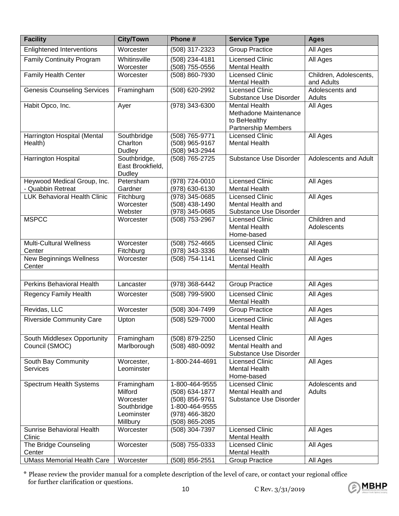| <b>Facility</b>                                  | <b>City/Town</b>                                                            | Phone #                                                                                                  | <b>Service Type</b>                                                                         | <b>Ages</b>                          |
|--------------------------------------------------|-----------------------------------------------------------------------------|----------------------------------------------------------------------------------------------------------|---------------------------------------------------------------------------------------------|--------------------------------------|
| <b>Enlightened Interventions</b>                 | Worcester                                                                   | (508) 317-2323                                                                                           | <b>Group Practice</b>                                                                       | All Ages                             |
| <b>Family Continuity Program</b>                 | Whitinsville<br>Worcester                                                   | $(508)$ 234-4181<br>(508) 755-0556                                                                       | <b>Licensed Clinic</b><br><b>Mental Health</b>                                              | All Ages                             |
| <b>Family Health Center</b>                      | Worcester                                                                   | (508) 860-7930                                                                                           | <b>Licensed Clinic</b><br><b>Mental Health</b>                                              | Children, Adolescents,<br>and Adults |
| <b>Genesis Counseling Services</b>               | Framingham                                                                  | (508) 620-2992                                                                                           | <b>Licensed Clinic</b><br>Substance Use Disorder                                            | Adolescents and<br>Adults            |
| Habit Opco, Inc.                                 | Ayer                                                                        | (978) 343-6300                                                                                           | <b>Mental Health</b><br>Methadone Maintenance<br>to BeHealthy<br><b>Partnership Members</b> | All Ages                             |
| Harrington Hospital (Mental<br>Health)           | Southbridge<br>Charlton<br>Dudley                                           | (508) 765-9771<br>(508) 965-9167<br>(508) 943-2944                                                       | Licensed Clinic<br><b>Mental Health</b>                                                     | All Ages                             |
| Harrington Hospital                              | Southbridge,<br>East Brookfield,<br>Dudley                                  | (508) 765-2725                                                                                           | Substance Use Disorder                                                                      | Adolescents and Adult                |
| Heywood Medical Group, Inc.<br>- Quabbin Retreat | Petersham<br>Gardner                                                        | (978) 724-0010<br>(978) 630-6130                                                                         | <b>Licensed Clinic</b><br><b>Mental Health</b>                                              | All Ages                             |
| <b>LUK Behavioral Health Clinic</b>              | Fitchburg<br>Worcester<br>Webster                                           | (978) 345-0685<br>(508) 438-1490<br>(978) 345-0685                                                       | <b>Licensed Clinic</b><br>Mental Health and<br>Substance Use Disorder                       | All Ages                             |
| <b>MSPCC</b>                                     | Worcester                                                                   | (508) 753-2967                                                                                           | <b>Licensed Clinic</b><br><b>Mental Health</b><br>Home-based                                | Children and<br>Adolescents          |
| <b>Multi-Cultural Wellness</b><br>Center         | Worcester<br>Fitchburg                                                      | $(508)$ 752-4665<br>(978) 343-3336                                                                       | <b>Licensed Clinic</b><br><b>Mental Health</b>                                              | All Ages                             |
| <b>New Beginnings Wellness</b><br>Center         | Worcester                                                                   | (508) 754-1141                                                                                           | <b>Licensed Clinic</b><br><b>Mental Health</b>                                              | All Ages                             |
|                                                  |                                                                             |                                                                                                          |                                                                                             |                                      |
| Perkins Behavioral Health                        | Lancaster                                                                   | (978) 368-6442                                                                                           | <b>Group Practice</b>                                                                       | All Ages                             |
| <b>Regency Family Health</b>                     | Worcester                                                                   | (508) 799-5900                                                                                           | <b>Licensed Clinic</b><br><b>Mental Health</b>                                              | All Ages                             |
| Revidas, LLC                                     | Worcester                                                                   | (508) 304-7499                                                                                           | <b>Group Practice</b>                                                                       | All Ages                             |
| <b>Riverside Community Care</b>                  | Upton                                                                       | (508) 529-7000                                                                                           | <b>Licensed Clinic</b><br><b>Mental Health</b>                                              | All Ages                             |
| South Middlesex Opportunity<br>Council (SMOC)    | Framingham<br>Marlborough                                                   | (508) 879-2250<br>(508) 480-0092                                                                         | <b>Licensed Clinic</b><br>Mental Health and<br>Substance Use Disorder                       | All Ages                             |
| South Bay Community<br><b>Services</b>           | Worcester,<br>Leominster                                                    | 1-800-244-4691                                                                                           | <b>Licensed Clinic</b><br><b>Mental Health</b><br>Home-based                                | All Ages                             |
| Spectrum Health Systems                          | Framingham<br>Milford<br>Worcester<br>Southbridge<br>Leominster<br>Millbury | 1-800-464-9555<br>(508) 634-1877<br>(508) 856-9761<br>1-800-464-9555<br>(978) 466-3820<br>(508) 865-2085 | <b>Licensed Clinic</b><br>Mental Health and<br>Substance Use Disorder                       | Adolescents and<br>Adults            |
| Sunrise Behavioral Health<br>Clinic              | Worcester                                                                   | (508) 304-7397                                                                                           | <b>Licensed Clinic</b><br><b>Mental Health</b>                                              | All Ages                             |
| The Bridge Counseling<br>Center                  | Worcester                                                                   | (508) 755-0333                                                                                           | <b>Licensed Clinic</b><br><b>Mental Health</b>                                              | All Ages                             |
| <b>UMass Memorial Health Care</b>                | Worcester                                                                   | (508) 856-2551                                                                                           | <b>Group Practice</b>                                                                       | All Ages                             |



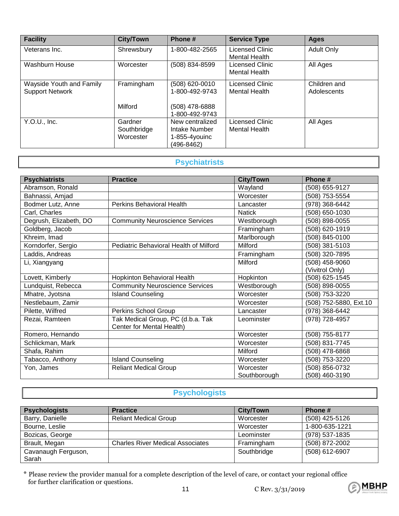| <b>Facility</b>                                    | <b>City/Town</b>                    | Phone #                                                         | <b>Service Type</b>                            | Ages                        |
|----------------------------------------------------|-------------------------------------|-----------------------------------------------------------------|------------------------------------------------|-----------------------------|
| Veterans Inc.                                      | Shrewsbury                          | 1-800-482-2565                                                  | <b>Licensed Clinic</b><br><b>Mental Health</b> | <b>Adult Only</b>           |
| Washburn House                                     | Worcester                           | (508) 834-8599                                                  | Licensed Clinic<br><b>Mental Health</b>        | All Ages                    |
| Wayside Youth and Family<br><b>Support Network</b> | Framingham<br>Milford               | (508) 620-0010<br>1-800-492-9743<br>(508) 478-6888              | <b>Licensed Clinic</b><br><b>Mental Health</b> | Children and<br>Adolescents |
|                                                    |                                     | 1-800-492-9743                                                  |                                                |                             |
| Y.O.U., Inc.                                       | Gardner<br>Southbridge<br>Worcester | New centralized<br>Intake Number<br>1-855-4youinc<br>(496-8462) | <b>Licensed Clinic</b><br>Mental Health        | All Ages                    |

### **Psychiatrists**

| <b>Psychiatrists</b>   | <b>Practice</b>                                                | <b>City/Town</b> | Phone #                |
|------------------------|----------------------------------------------------------------|------------------|------------------------|
| Abramson, Ronald       |                                                                | Wayland          | (508) 655-9127         |
| Bahnassi, Amjad        |                                                                | Worcester        | (508) 753-5554         |
| Bodmer Lutz, Anne      | <b>Perkins Behavioral Health</b>                               | Lancaster        | (978) 368-6442         |
| Carl, Charles          |                                                                | <b>Natick</b>    | (508) 650-1030         |
| Degrush, Elizabeth, DO | <b>Community Neuroscience Services</b>                         | Westborough      | (508) 898-0055         |
| Goldberg, Jacob        |                                                                | Framingham       | (508) 620-1919         |
| Khreim, Imad           |                                                                | Marlborough      | (508) 845-0100         |
| Korndorfer, Sergio     | Pediatric Behavioral Health of Milford                         | Milford          | (508) 381-5103         |
| Laddis, Andreas        |                                                                | Framingham       | (508) 320-7895         |
| Li, Xiangyang          |                                                                | Milford          | (508) 458-9060         |
|                        |                                                                |                  | (Vivitrol Only)        |
| Lovett, Kimberly       | Hopkinton Behavioral Health                                    | Hopkinton        | (508) 625-1545         |
| Lundquist, Rebecca     | <b>Community Neuroscience Services</b>                         | Westborough      | (508) 898-0055         |
| Mhatre, Jyotsna        | <b>Island Counseling</b>                                       | Worcester        | (508) 753-3220         |
| Nestlebaum, Zamir      |                                                                | Worcester        | (508) 752-5880, Ext.10 |
| Pilette, Wilfred       | Perkins School Group                                           | Lancaster        | (978) 368-6442         |
| Rezai, Ramteen         | Tak Medical Group, PC (d.b.a. Tak<br>Center for Mental Health) | Leominster       | (978) 728-4957         |
| Romero, Hernando       |                                                                | Worcester        | (508) 755-8177         |
| Schlickman, Mark       |                                                                | Worcester        | (508) 831-7745         |
| Shafa, Rahim           |                                                                | Milford          | (508) 478-6868         |
| Tabacco, Anthony       | <b>Island Counseling</b>                                       | Worcester        | (508) 753-3220         |
| Yon, James             | <b>Reliant Medical Group</b>                                   | Worcester        | (508) 856-0732         |
|                        |                                                                | Southborough     | (508) 460-3190         |

### **Psychologists**

| <b>Psychologists</b> | <b>Practice</b>                         | <b>City/Town</b> | Phone #        |
|----------------------|-----------------------------------------|------------------|----------------|
| Barry, Danielle      | <b>Reliant Medical Group</b>            | Worcester        | (508) 425-5126 |
| Bourne, Leslie       |                                         | Worcester        | 1-800-635-1221 |
| Bozicas, George      |                                         | Leominster       | (978) 537-1835 |
| Brault, Megan        | <b>Charles River Medical Associates</b> | Framingham       | (508) 872-2002 |
| Cavanaugh Ferguson,  |                                         | Southbridge      | (508) 612-6907 |
| Sarah                |                                         |                  |                |

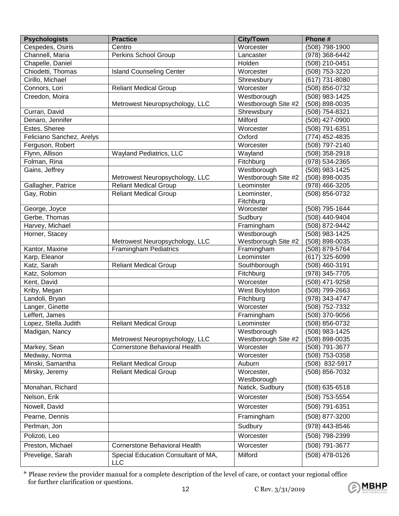| <b>Psychologists</b>      | <b>Practice</b>                                   | <b>City/Town</b>          | Phone #            |
|---------------------------|---------------------------------------------------|---------------------------|--------------------|
| Cespedes, Osiris          | Centro                                            | Worcester                 | (508) 798-1900     |
| Channell, Maria           | Perkins School Group                              | Lancaster                 | (978) 368-6442     |
| Chapelle, Daniel          |                                                   | Holden                    | (508) 210-0451     |
| Chiodetti, Thomas         | <b>Island Counseling Center</b>                   | Worcester                 | (508) 753-3220     |
| Cirillo, Michael          |                                                   | Shrewsbury                | (617) 731-8080     |
| Connors, Lori             | <b>Reliant Medical Group</b>                      | Worcester                 | (508) 856-0732     |
| Creedon, Moira            |                                                   | Westborough               | (508) 983-1425     |
|                           | Metrowest Neuropsychology, LLC                    | Westborough Site #2       | (508) 898-0035     |
| Curran, David             |                                                   | Shrewsbury                | $(508)$ 754-8321   |
| Denaro, Jennifer          |                                                   | Milford                   | (508) 427-0900     |
| Estes, Sheree             |                                                   | Worcester                 | (508) 791-6351     |
| Feliciano Sanchez, Arelys |                                                   | Oxford                    | (774) 452-4835     |
| Ferguson, Robert          |                                                   | Worcester                 | (508) 797-2140     |
| Flynn, Allison            | Wayland Pediatrics, LLC                           | Wayland                   | (508) 358-2918     |
| Folman, Rina              |                                                   | Fitchburg                 | (978) 534-2365     |
| Gains, Jeffrey            |                                                   | Westborough               | (508) 983-1425     |
|                           | Metrowest Neuropsychology, LLC                    | Westborough Site #2       | (508) 898-0035     |
| Gallagher, Patrice        | <b>Reliant Medical Group</b>                      | Leominster                | (978) 466-3205     |
| Gay, Robin                | <b>Reliant Medical Group</b>                      | Leominster,<br>Fitchburg  | $(508) 856 - 0732$ |
| George, Joyce             |                                                   | Worcester                 | (508) 795-1644     |
| Gerbe, Thomas             |                                                   | Sudbury                   | (508) 440-9404     |
| Harvey, Michael           |                                                   | Framingham                | (508) 872-9442     |
| Horner, Stacey            |                                                   | Westborough               | (508) 983-1425     |
|                           | Metrowest Neuropsychology, LLC                    | Westborough Site #2       | (508) 898-0035     |
| Kantor, Maxine            | <b>Framingham Pediatrics</b>                      | Framingham                | (508) 879-5764     |
| Karp, Eleanor             |                                                   | Leominster                | (617) 325-6099     |
| Katz, Sarah               | <b>Reliant Medical Group</b>                      | Southborough              | (508) 460-3191     |
| Katz, Solomon             |                                                   | Fitchburg                 | (978) 345-7705     |
| Kent, David               |                                                   | Worcester                 | (508) 471-9258     |
| Kriby, Megan              |                                                   | West Boylston             | (508) 799-2663     |
| Landoli, Bryan            |                                                   | Fitchburg                 | (978) 343-4747     |
| Langer, Ginette           |                                                   | Worcester                 | (508) 752-7332     |
| Leffert, James            |                                                   | Framingham                | (508) 370-9056     |
| Lopez, Stella Judith      | <b>Reliant Medical Group</b>                      | Leominster                | (508) 856-0732     |
| Madigan, Nancy            |                                                   | Westborough               | (508) 983-1425     |
|                           | Metrowest Neuropsychology, LLC                    | Westborough Site #2       | (508) 898-0035     |
| Markey, Sean              | Cornerstone Behavioral Health                     | Worcester                 | (508) 791-3677     |
| Medway, Norma             |                                                   | Worcester                 | (508) 753-0358     |
| Minski, Samantha          | <b>Reliant Medical Group</b>                      | Auburn                    | (508) 832-5917     |
| Mirsky, Jeremy            | <b>Reliant Medical Group</b>                      | Worcester,<br>Westborough | (508) 856-7032     |
| Monahan, Richard          |                                                   | Natick, Sudbury           | $(508) 635 - 6518$ |
| Nelson, Erik              |                                                   | Worcester                 | $(508)$ 753-5554   |
| Nowell, David             |                                                   | Worcester                 | (508) 791-6351     |
| Pearne, Dennis            |                                                   | Framingham                | (508) 877-3200     |
| Perlman, Jon              |                                                   | Sudbury                   | (978) 443-8546     |
| Polizoti, Leo             |                                                   | Worcester                 | $(508) 798 - 2399$ |
| Preston, Michael          | Cornerstone Behavioral Health                     | Worcester                 | (508) 791-3677     |
| Prevelige, Sarah          | Special Education Consultant of MA,<br><b>LLC</b> | Milford                   | (508) 478-0126     |



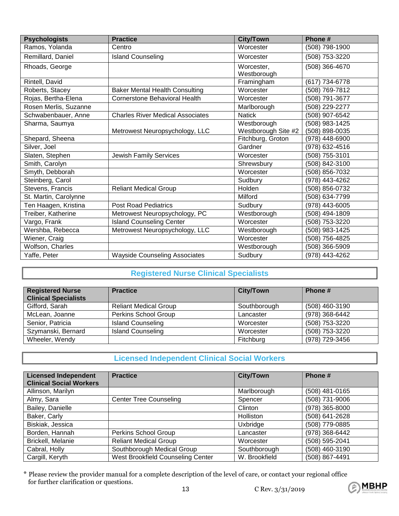| <b>Psychologists</b>  | <b>Practice</b>                         | <b>City/Town</b>          | Phone #        |
|-----------------------|-----------------------------------------|---------------------------|----------------|
| Ramos, Yolanda        | Centro                                  | Worcester                 | (508) 798-1900 |
| Remillard, Daniel     | <b>Island Counseling</b>                | Worcester                 | (508) 753-3220 |
| Rhoads, George        |                                         | Worcester,<br>Westborough | (508) 366-4670 |
| Rintell, David        |                                         | Framingham                | (617) 734-6778 |
| Roberts, Stacey       | <b>Baker Mental Health Consulting</b>   | Worcester                 | (508) 769-7812 |
| Rojas, Bertha-Elena   | <b>Cornerstone Behavioral Health</b>    | Worcester                 | (508) 791-3677 |
| Rosen Merlis, Suzanne |                                         | Marlborough               | (508) 229-2277 |
| Schwabenbauer, Anne   | <b>Charles River Medical Associates</b> | <b>Natick</b>             | (508) 907-6542 |
| Sharma, Saumya        |                                         | Westborough               | (508) 983-1425 |
|                       | Metrowest Neuropsychology, LLC          | Westborough Site #2       | (508) 898-0035 |
| Shepard, Sheena       |                                         | Fitchburg, Groton         | (978) 448-6900 |
| Silver, Joel          |                                         | Gardner                   | (978) 632-4516 |
| Slaten, Stephen       | Jewish Family Services                  | Worcester                 | (508) 755-3101 |
| Smith, Carolyn        |                                         | Shrewsbury                | (508) 842-3100 |
| Smyth, Debborah       |                                         | Worcester                 | (508) 856-7032 |
| Steinberg, Carol      |                                         | Sudbury                   | (978) 443-4262 |
| Stevens, Francis      | <b>Reliant Medical Group</b>            | Holden                    | (508) 856-0732 |
| St. Martin, Carolynne |                                         | Milford                   | (508) 634-7799 |
| Ten Haagen, Kristina  | <b>Post Road Pediatrics</b>             | Sudbury                   | (978) 443-6005 |
| Treiber, Katherine    | Metrowest Neuropsychology, PC           | Westborough               | (508) 494-1809 |
| Vargo, Frank          | <b>Island Counseling Center</b>         | Worcester                 | (508) 753-3220 |
| Wershba, Rebecca      | Metrowest Neuropsychology, LLC          | Westborough               | (508) 983-1425 |
| Wiener, Craig         |                                         | Worcester                 | (508) 756-4825 |
| Wolfson, Charles      |                                         | Westborough               | (508) 366-5909 |
| Yaffe, Peter          | <b>Wayside Counseling Associates</b>    | Sudbury                   | (978) 443-4262 |

### **Registered Nurse Clinical Specialists**

| <b>Registered Nurse</b><br><b>Clinical Specialists</b> | <b>Practice</b>              | <b>City/Town</b> | Phone #        |
|--------------------------------------------------------|------------------------------|------------------|----------------|
| Gifford, Sarah                                         | <b>Reliant Medical Group</b> | Southborough     | (508) 460-3190 |
| McLean, Joanne                                         | <b>Perkins School Group</b>  | Lancaster        | (978) 368-6442 |
| Senior, Patricia                                       | <b>Island Counseling</b>     | Worcester        | (508) 753-3220 |
| Szymanski, Bernard                                     | <b>Island Counseling</b>     | Worcester        | (508) 753-3220 |
| Wheeler, Wendy                                         |                              | Fitchburg        | (978) 729-3456 |

### **Licensed Independent Clinical Social Workers**

| <b>Licensed Independent</b><br><b>Clinical Social Workers</b> | <b>Practice</b>                          | <b>City/Town</b> | Phone #        |
|---------------------------------------------------------------|------------------------------------------|------------------|----------------|
| Allinson, Marilyn                                             |                                          | Marlborough      | (508) 481-0165 |
| Almy, Sara                                                    | <b>Center Tree Counseling</b>            | Spencer          | (508) 731-9006 |
| Bailey, Danielle                                              |                                          | Clinton          | (978) 365-8000 |
| Baker, Carly                                                  |                                          | Holliston        | (508) 641-2628 |
| Biskiak, Jessica                                              |                                          | Uxbridge         | (508) 779-0885 |
| Borden, Hannah                                                | Perkins School Group                     | Lancaster        | (978) 368-6442 |
| Brickell, Melanie                                             | <b>Reliant Medical Group</b>             | Worcester        | (508) 595-2041 |
| Cabral, Holly                                                 | Southborough Medical Group               | Southborough     | (508) 460-3190 |
| Cargill, Keryth                                               | <b>West Brookfield Counseling Center</b> | W. Brookfield    | (508) 867-4491 |

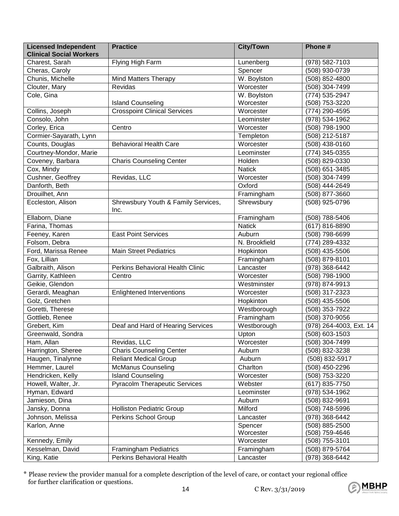| Charest, Sarah<br>Flying High Farm<br>(978) 582-7103<br>Lunenberg<br>Spencer<br>Cheras, Caroly<br>(508) 930-0739<br>Chunis, Michelle<br>W. Boylston<br>(508) 852-4800<br><b>Mind Matters Therapy</b><br>Clouter, Mary<br>Worcester<br>(508) 304-7499<br>Revidas<br>Cole, Gina<br>W. Boylston<br>(774) 535-2947<br><b>Island Counseling</b><br>Worcester<br>(508) 753-3220<br>Collins, Joseph<br><b>Crosspoint Clinical Services</b><br>Worcester<br>(774) 290-4595<br>Consolo, John<br>Leominster<br>(978) 534-1962<br>Corley, Erica<br>Worcester<br>Centro<br>(508) 798-1900<br>Cormier-Sayarath, Lynn<br>Templeton<br>(508) 212-5187<br>Counts, Douglas<br><b>Behavioral Health Care</b><br>Worcester<br>(508) 438-0160<br>Courtney-Mondor, Marie<br>Leominster<br>(774) 345-0355<br>Coveney, Barbara<br><b>Charis Counseling Center</b><br>Holden<br>(508) 829-0330<br><b>Natick</b><br>(508) 651-3485<br>Cox, Mindy<br>Cushner, Geoffrey<br>Revidas, LLC<br>Worcester<br>(508) 304-7499<br>Oxford<br>Danforth, Beth<br>(508) 444-2649<br>Drouilhet, Ann<br>Framingham<br>(508) 877-3660<br>Eccleston, Alison<br>Shrewsbury Youth & Family Services,<br>Shrewsbury<br>(508) 925-0796<br>Inc.<br>Ellaborn, Diane<br>Framingham<br>(508) 788-5406<br>Farina, Thomas<br><b>Natick</b><br>(617) 816-8890<br>Feeney, Karen<br><b>East Point Services</b><br>Auburn<br>(508) 798-6699<br>Folsom, Debra<br>N. Brookfield<br>(774) 289-4332<br>Ford, Marissa Renee<br><b>Main Street Pediatrics</b><br>Hopkinton<br>(508) 435-5506<br>Fox, Lillian<br>Framingham<br>(508) 879-8101<br>Galbraith, Alison<br>Perkins Behavioral Health Clinic<br>Lancaster<br>(978) 368-6442 | <b>Licensed Independent</b><br><b>Clinical Social Workers</b> | <b>Practice</b> | <b>City/Town</b> | Phone # |
|-----------------------------------------------------------------------------------------------------------------------------------------------------------------------------------------------------------------------------------------------------------------------------------------------------------------------------------------------------------------------------------------------------------------------------------------------------------------------------------------------------------------------------------------------------------------------------------------------------------------------------------------------------------------------------------------------------------------------------------------------------------------------------------------------------------------------------------------------------------------------------------------------------------------------------------------------------------------------------------------------------------------------------------------------------------------------------------------------------------------------------------------------------------------------------------------------------------------------------------------------------------------------------------------------------------------------------------------------------------------------------------------------------------------------------------------------------------------------------------------------------------------------------------------------------------------------------------------------------------------------------------------------------------------------|---------------------------------------------------------------|-----------------|------------------|---------|
|                                                                                                                                                                                                                                                                                                                                                                                                                                                                                                                                                                                                                                                                                                                                                                                                                                                                                                                                                                                                                                                                                                                                                                                                                                                                                                                                                                                                                                                                                                                                                                                                                                                                       |                                                               |                 |                  |         |
|                                                                                                                                                                                                                                                                                                                                                                                                                                                                                                                                                                                                                                                                                                                                                                                                                                                                                                                                                                                                                                                                                                                                                                                                                                                                                                                                                                                                                                                                                                                                                                                                                                                                       |                                                               |                 |                  |         |
|                                                                                                                                                                                                                                                                                                                                                                                                                                                                                                                                                                                                                                                                                                                                                                                                                                                                                                                                                                                                                                                                                                                                                                                                                                                                                                                                                                                                                                                                                                                                                                                                                                                                       |                                                               |                 |                  |         |
|                                                                                                                                                                                                                                                                                                                                                                                                                                                                                                                                                                                                                                                                                                                                                                                                                                                                                                                                                                                                                                                                                                                                                                                                                                                                                                                                                                                                                                                                                                                                                                                                                                                                       |                                                               |                 |                  |         |
|                                                                                                                                                                                                                                                                                                                                                                                                                                                                                                                                                                                                                                                                                                                                                                                                                                                                                                                                                                                                                                                                                                                                                                                                                                                                                                                                                                                                                                                                                                                                                                                                                                                                       |                                                               |                 |                  |         |
|                                                                                                                                                                                                                                                                                                                                                                                                                                                                                                                                                                                                                                                                                                                                                                                                                                                                                                                                                                                                                                                                                                                                                                                                                                                                                                                                                                                                                                                                                                                                                                                                                                                                       |                                                               |                 |                  |         |
|                                                                                                                                                                                                                                                                                                                                                                                                                                                                                                                                                                                                                                                                                                                                                                                                                                                                                                                                                                                                                                                                                                                                                                                                                                                                                                                                                                                                                                                                                                                                                                                                                                                                       |                                                               |                 |                  |         |
|                                                                                                                                                                                                                                                                                                                                                                                                                                                                                                                                                                                                                                                                                                                                                                                                                                                                                                                                                                                                                                                                                                                                                                                                                                                                                                                                                                                                                                                                                                                                                                                                                                                                       |                                                               |                 |                  |         |
|                                                                                                                                                                                                                                                                                                                                                                                                                                                                                                                                                                                                                                                                                                                                                                                                                                                                                                                                                                                                                                                                                                                                                                                                                                                                                                                                                                                                                                                                                                                                                                                                                                                                       |                                                               |                 |                  |         |
|                                                                                                                                                                                                                                                                                                                                                                                                                                                                                                                                                                                                                                                                                                                                                                                                                                                                                                                                                                                                                                                                                                                                                                                                                                                                                                                                                                                                                                                                                                                                                                                                                                                                       |                                                               |                 |                  |         |
|                                                                                                                                                                                                                                                                                                                                                                                                                                                                                                                                                                                                                                                                                                                                                                                                                                                                                                                                                                                                                                                                                                                                                                                                                                                                                                                                                                                                                                                                                                                                                                                                                                                                       |                                                               |                 |                  |         |
|                                                                                                                                                                                                                                                                                                                                                                                                                                                                                                                                                                                                                                                                                                                                                                                                                                                                                                                                                                                                                                                                                                                                                                                                                                                                                                                                                                                                                                                                                                                                                                                                                                                                       |                                                               |                 |                  |         |
|                                                                                                                                                                                                                                                                                                                                                                                                                                                                                                                                                                                                                                                                                                                                                                                                                                                                                                                                                                                                                                                                                                                                                                                                                                                                                                                                                                                                                                                                                                                                                                                                                                                                       |                                                               |                 |                  |         |
|                                                                                                                                                                                                                                                                                                                                                                                                                                                                                                                                                                                                                                                                                                                                                                                                                                                                                                                                                                                                                                                                                                                                                                                                                                                                                                                                                                                                                                                                                                                                                                                                                                                                       |                                                               |                 |                  |         |
|                                                                                                                                                                                                                                                                                                                                                                                                                                                                                                                                                                                                                                                                                                                                                                                                                                                                                                                                                                                                                                                                                                                                                                                                                                                                                                                                                                                                                                                                                                                                                                                                                                                                       |                                                               |                 |                  |         |
|                                                                                                                                                                                                                                                                                                                                                                                                                                                                                                                                                                                                                                                                                                                                                                                                                                                                                                                                                                                                                                                                                                                                                                                                                                                                                                                                                                                                                                                                                                                                                                                                                                                                       |                                                               |                 |                  |         |
|                                                                                                                                                                                                                                                                                                                                                                                                                                                                                                                                                                                                                                                                                                                                                                                                                                                                                                                                                                                                                                                                                                                                                                                                                                                                                                                                                                                                                                                                                                                                                                                                                                                                       |                                                               |                 |                  |         |
|                                                                                                                                                                                                                                                                                                                                                                                                                                                                                                                                                                                                                                                                                                                                                                                                                                                                                                                                                                                                                                                                                                                                                                                                                                                                                                                                                                                                                                                                                                                                                                                                                                                                       |                                                               |                 |                  |         |
|                                                                                                                                                                                                                                                                                                                                                                                                                                                                                                                                                                                                                                                                                                                                                                                                                                                                                                                                                                                                                                                                                                                                                                                                                                                                                                                                                                                                                                                                                                                                                                                                                                                                       |                                                               |                 |                  |         |
|                                                                                                                                                                                                                                                                                                                                                                                                                                                                                                                                                                                                                                                                                                                                                                                                                                                                                                                                                                                                                                                                                                                                                                                                                                                                                                                                                                                                                                                                                                                                                                                                                                                                       |                                                               |                 |                  |         |
|                                                                                                                                                                                                                                                                                                                                                                                                                                                                                                                                                                                                                                                                                                                                                                                                                                                                                                                                                                                                                                                                                                                                                                                                                                                                                                                                                                                                                                                                                                                                                                                                                                                                       |                                                               |                 |                  |         |
|                                                                                                                                                                                                                                                                                                                                                                                                                                                                                                                                                                                                                                                                                                                                                                                                                                                                                                                                                                                                                                                                                                                                                                                                                                                                                                                                                                                                                                                                                                                                                                                                                                                                       |                                                               |                 |                  |         |
|                                                                                                                                                                                                                                                                                                                                                                                                                                                                                                                                                                                                                                                                                                                                                                                                                                                                                                                                                                                                                                                                                                                                                                                                                                                                                                                                                                                                                                                                                                                                                                                                                                                                       |                                                               |                 |                  |         |
|                                                                                                                                                                                                                                                                                                                                                                                                                                                                                                                                                                                                                                                                                                                                                                                                                                                                                                                                                                                                                                                                                                                                                                                                                                                                                                                                                                                                                                                                                                                                                                                                                                                                       |                                                               |                 |                  |         |
|                                                                                                                                                                                                                                                                                                                                                                                                                                                                                                                                                                                                                                                                                                                                                                                                                                                                                                                                                                                                                                                                                                                                                                                                                                                                                                                                                                                                                                                                                                                                                                                                                                                                       |                                                               |                 |                  |         |
|                                                                                                                                                                                                                                                                                                                                                                                                                                                                                                                                                                                                                                                                                                                                                                                                                                                                                                                                                                                                                                                                                                                                                                                                                                                                                                                                                                                                                                                                                                                                                                                                                                                                       |                                                               |                 |                  |         |
| Garrity, Kathleen<br>Worcester<br>Centro<br>(508) 798-1900                                                                                                                                                                                                                                                                                                                                                                                                                                                                                                                                                                                                                                                                                                                                                                                                                                                                                                                                                                                                                                                                                                                                                                                                                                                                                                                                                                                                                                                                                                                                                                                                            |                                                               |                 |                  |         |
| Geikie, Glendon<br>Westminster<br>(978) 874-9913                                                                                                                                                                                                                                                                                                                                                                                                                                                                                                                                                                                                                                                                                                                                                                                                                                                                                                                                                                                                                                                                                                                                                                                                                                                                                                                                                                                                                                                                                                                                                                                                                      |                                                               |                 |                  |         |
| Gerardi, Meaghan<br><b>Enlightened Interventions</b><br>Worcester<br>(508) 317-2323                                                                                                                                                                                                                                                                                                                                                                                                                                                                                                                                                                                                                                                                                                                                                                                                                                                                                                                                                                                                                                                                                                                                                                                                                                                                                                                                                                                                                                                                                                                                                                                   |                                                               |                 |                  |         |
| Golz, Gretchen<br>Hopkinton<br>(508) 435-5506                                                                                                                                                                                                                                                                                                                                                                                                                                                                                                                                                                                                                                                                                                                                                                                                                                                                                                                                                                                                                                                                                                                                                                                                                                                                                                                                                                                                                                                                                                                                                                                                                         |                                                               |                 |                  |         |
| Goretti, Therese<br>Westborough<br>(508) 353-7922                                                                                                                                                                                                                                                                                                                                                                                                                                                                                                                                                                                                                                                                                                                                                                                                                                                                                                                                                                                                                                                                                                                                                                                                                                                                                                                                                                                                                                                                                                                                                                                                                     |                                                               |                 |                  |         |
| Gottlieb, Renee<br>(508) 370-9056<br>Framingham                                                                                                                                                                                                                                                                                                                                                                                                                                                                                                                                                                                                                                                                                                                                                                                                                                                                                                                                                                                                                                                                                                                                                                                                                                                                                                                                                                                                                                                                                                                                                                                                                       |                                                               |                 |                  |         |
| Deaf and Hard of Hearing Services<br>Westborough<br>(978) 264-4003, Ext. 14<br>Grebert, Kim                                                                                                                                                                                                                                                                                                                                                                                                                                                                                                                                                                                                                                                                                                                                                                                                                                                                                                                                                                                                                                                                                                                                                                                                                                                                                                                                                                                                                                                                                                                                                                           |                                                               |                 |                  |         |
| Greenwald, Sondra<br>$(508) 603 - 1503$<br>Upton                                                                                                                                                                                                                                                                                                                                                                                                                                                                                                                                                                                                                                                                                                                                                                                                                                                                                                                                                                                                                                                                                                                                                                                                                                                                                                                                                                                                                                                                                                                                                                                                                      |                                                               |                 |                  |         |
| Worcester<br>Ham, Allan<br>Revidas, LLC<br>(508) 304-7499                                                                                                                                                                                                                                                                                                                                                                                                                                                                                                                                                                                                                                                                                                                                                                                                                                                                                                                                                                                                                                                                                                                                                                                                                                                                                                                                                                                                                                                                                                                                                                                                             |                                                               |                 |                  |         |
| Harrington, Sheree<br><b>Charis Counseling Center</b><br>Auburn<br>(508) 832-3238                                                                                                                                                                                                                                                                                                                                                                                                                                                                                                                                                                                                                                                                                                                                                                                                                                                                                                                                                                                                                                                                                                                                                                                                                                                                                                                                                                                                                                                                                                                                                                                     |                                                               |                 |                  |         |
| Haugen, Tinalynne<br><b>Reliant Medical Group</b><br>Auburn<br>(508) 832-5917                                                                                                                                                                                                                                                                                                                                                                                                                                                                                                                                                                                                                                                                                                                                                                                                                                                                                                                                                                                                                                                                                                                                                                                                                                                                                                                                                                                                                                                                                                                                                                                         |                                                               |                 |                  |         |
| <b>McManus Counseling</b><br>Charlton<br>Hemmer, Laurel<br>(508) 450-2296                                                                                                                                                                                                                                                                                                                                                                                                                                                                                                                                                                                                                                                                                                                                                                                                                                                                                                                                                                                                                                                                                                                                                                                                                                                                                                                                                                                                                                                                                                                                                                                             |                                                               |                 |                  |         |
| <b>Island Counseling</b><br>Hendricken, Kelly<br>Worcester<br>(508) 753-3220                                                                                                                                                                                                                                                                                                                                                                                                                                                                                                                                                                                                                                                                                                                                                                                                                                                                                                                                                                                                                                                                                                                                                                                                                                                                                                                                                                                                                                                                                                                                                                                          |                                                               |                 |                  |         |
| <b>Pyracolm Therapeutic Services</b><br>Howell, Walter, Jr.<br>Webster<br>(617) 835-7750                                                                                                                                                                                                                                                                                                                                                                                                                                                                                                                                                                                                                                                                                                                                                                                                                                                                                                                                                                                                                                                                                                                                                                                                                                                                                                                                                                                                                                                                                                                                                                              |                                                               |                 |                  |         |
| Hyman, Edward<br>Leominster<br>(978) 534-1962                                                                                                                                                                                                                                                                                                                                                                                                                                                                                                                                                                                                                                                                                                                                                                                                                                                                                                                                                                                                                                                                                                                                                                                                                                                                                                                                                                                                                                                                                                                                                                                                                         |                                                               |                 |                  |         |
| Jamieson, Dina<br>Auburn<br>(508) 832-9691                                                                                                                                                                                                                                                                                                                                                                                                                                                                                                                                                                                                                                                                                                                                                                                                                                                                                                                                                                                                                                                                                                                                                                                                                                                                                                                                                                                                                                                                                                                                                                                                                            |                                                               |                 |                  |         |
| Milford<br>Jansky, Donna<br>(508) 748-5996<br><b>Holliston Pediatric Group</b>                                                                                                                                                                                                                                                                                                                                                                                                                                                                                                                                                                                                                                                                                                                                                                                                                                                                                                                                                                                                                                                                                                                                                                                                                                                                                                                                                                                                                                                                                                                                                                                        |                                                               |                 |                  |         |
| Perkins School Group<br>Johnson, Melissa<br>(978) 368-6442<br>Lancaster                                                                                                                                                                                                                                                                                                                                                                                                                                                                                                                                                                                                                                                                                                                                                                                                                                                                                                                                                                                                                                                                                                                                                                                                                                                                                                                                                                                                                                                                                                                                                                                               |                                                               |                 |                  |         |
| Spencer<br>(508) 885-2500<br>Karlon, Anne                                                                                                                                                                                                                                                                                                                                                                                                                                                                                                                                                                                                                                                                                                                                                                                                                                                                                                                                                                                                                                                                                                                                                                                                                                                                                                                                                                                                                                                                                                                                                                                                                             |                                                               |                 |                  |         |
| Worcester<br>(508) 759-4646                                                                                                                                                                                                                                                                                                                                                                                                                                                                                                                                                                                                                                                                                                                                                                                                                                                                                                                                                                                                                                                                                                                                                                                                                                                                                                                                                                                                                                                                                                                                                                                                                                           |                                                               |                 |                  |         |
| Worcester<br>Kennedy, Emily<br>(508) 755-3101                                                                                                                                                                                                                                                                                                                                                                                                                                                                                                                                                                                                                                                                                                                                                                                                                                                                                                                                                                                                                                                                                                                                                                                                                                                                                                                                                                                                                                                                                                                                                                                                                         |                                                               |                 |                  |         |
| Kesselman, David<br><b>Framingham Pediatrics</b><br>Framingham<br>(508) 879-5764                                                                                                                                                                                                                                                                                                                                                                                                                                                                                                                                                                                                                                                                                                                                                                                                                                                                                                                                                                                                                                                                                                                                                                                                                                                                                                                                                                                                                                                                                                                                                                                      |                                                               |                 |                  |         |
| King, Katie<br>Perkins Behavioral Health<br>(978) 368-6442<br>Lancaster                                                                                                                                                                                                                                                                                                                                                                                                                                                                                                                                                                                                                                                                                                                                                                                                                                                                                                                                                                                                                                                                                                                                                                                                                                                                                                                                                                                                                                                                                                                                                                                               |                                                               |                 |                  |         |



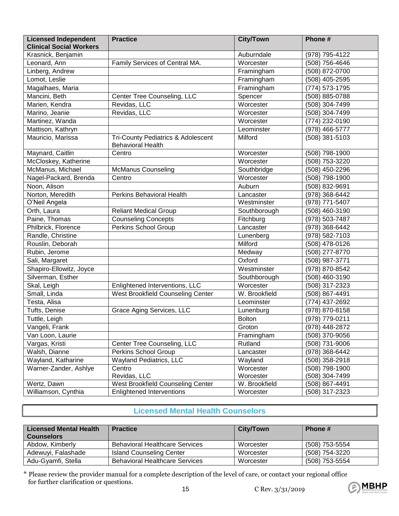| <b>Licensed Independent</b>                          | <b>Practice</b>                                                | <b>City/Town</b> | Phone #          |
|------------------------------------------------------|----------------------------------------------------------------|------------------|------------------|
| <b>Clinical Social Workers</b><br>Krasnick, Benjamin |                                                                | Auburndale       | (978) 795-4122   |
| Leonard, Ann                                         | Family Services of Central MA.                                 | Worcester        | (508) 756-4646   |
| Linberg, Andrew                                      |                                                                | Framingham       | (508) 872-0700   |
|                                                      |                                                                | Framingham       | (508) 405-2595   |
| Lomot, Leslie                                        |                                                                |                  |                  |
| Magalhaes, Maria                                     |                                                                | Framingham       | (774) 573-1795   |
| Mancini, Beth                                        | Center Tree Counseling, LLC                                    | Spencer          | (508) 885-0788   |
| Marien, Kendra                                       | Revidas, LLC                                                   | Worcester        | (508) 304-7499   |
| Marino, Jeanie                                       | Revidas, LLC                                                   | Worcester        | (508) 304-7499   |
| Martinez, Wanda                                      |                                                                | Worcester        | $(774)$ 232-0190 |
| Mattison, Kathryn                                    |                                                                | Leominster       | (978) 466-5777   |
| Mauricio, Marissa                                    | Tri-County Pediatrics & Adolescent<br><b>Behavioral Health</b> | Milford          | (508) 381-5103   |
| Maynard, Caitlin                                     | Centro                                                         | Worcester        | (508) 798-1900   |
| McCloskey, Katherine                                 |                                                                | Worcester        | (508) 753-3220   |
| McManus, Michael                                     | <b>McManus Counseling</b>                                      | Southbridge      | (508) 450-2296   |
| Nagel-Packard, Brenda                                | Centro                                                         | Worcester        | (508) 798-1900   |
| Noon, Alison                                         |                                                                | Auburn           | (508) 832-9691   |
| Norton, Meredith                                     | Perkins Behavioral Health                                      | Lancaster        | (978) 368-6442   |
| O'Neil Angela                                        |                                                                | Westminster      | (978) 771-5407   |
| Orth, Laura                                          | <b>Reliant Medical Group</b>                                   | Southborough     | (508) 460-3190   |
| Paine, Thomas                                        | <b>Counseling Concepts</b>                                     | Fitchburg        | (978) 503-7487   |
| Philbrick, Florence                                  | Perkins School Group                                           | Lancaster        | (978) 368-6442   |
| Randle, Christine                                    |                                                                | Lunenberg        | (978) 582-7103   |
| Rouslin, Deborah                                     |                                                                | Milford          | (508) 478-0126   |
| Rubin, Jerome                                        |                                                                | Medway           | (508) 277-8770   |
| Sali, Margaret                                       |                                                                | Oxford           | (508) 987-3771   |
| Shapiro-Ellowitz, Joyce                              |                                                                | Westminster      | (978) 870-8542   |
| Silverman, Esther                                    |                                                                | Southborough     | (508) 460-3190   |
| Skal, Leigh                                          | Enlightened Interventions, LLC                                 | Worcester        | (508) 317-2323   |
| Small, Linda                                         | West Brookfield Counseling Center                              | W. Brookfield    | (508) 867-4491   |
| Testa, Alisa                                         |                                                                | Leominster       | (774) 437-2692   |
| Tufts, Denise                                        | Grace Aging Services, LLC                                      | Lunenburg        | (978) 870-8158   |
| Tuttle, Leigh                                        |                                                                | <b>Bolton</b>    | (978) 779-0211   |
| Vangeli, Frank                                       |                                                                | Groton           | (978) 448-2872   |
| Van Loon, Laurie                                     |                                                                | Framingham       | (508) 370-9056   |
| Vargas, Kristi                                       | Center Tree Counseling, LLC                                    | Rutland          | (508) 731-9006   |
| Walsh, Dianne                                        | Perkins School Group                                           | Lancaster        | (978) 368-6442   |
| Wayland, Katharine                                   | <b>Wayland Pediatrics, LLC</b>                                 | Wayland          | (508) 358-2918   |
| Warner-Zander, Ashlye                                | Centro                                                         | Worcester        | (508) 798-1900   |
|                                                      | Revidas, LLC                                                   | Worcester        | (508) 304-7499   |
| Wertz, Dawn                                          | West Brookfield Counseling Center                              | W. Brookfield    | (508) 867-4491   |
| Williamson, Cynthia                                  | <b>Enlightened Interventions</b>                               | Worcester        | (508) 317-2323   |

### **Licensed Mental Health Counselors**

| <b>Licensed Mental Health</b><br><b>Counselors</b> | <b>Practice</b>                       | <b>City/Town</b> | Phone #        |
|----------------------------------------------------|---------------------------------------|------------------|----------------|
| Abdow, Kimberly                                    | <b>Behavioral Healthcare Services</b> | Worcester        | (508) 753-5554 |
| Adewuyi, Falashade                                 | <b>Island Counseling Center</b>       | Worcester        | (508) 754-3220 |
| Adu-Gyamfi, Stella                                 | <b>Behavioral Healthcare Services</b> | Worcester        | (508) 753-5554 |

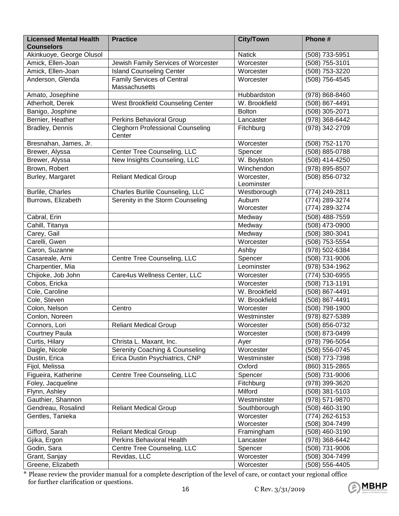| <b>Licensed Mental Health</b><br><b>Counselors</b> | <b>Practice</b>                                    | <b>City/Town</b>        | Phone #                          |
|----------------------------------------------------|----------------------------------------------------|-------------------------|----------------------------------|
| Akinkuoye, George Olusol                           |                                                    | <b>Natick</b>           | (508) 733-5951                   |
| Amick, Ellen-Joan                                  | Jewish Family Services of Worcester                | Worcester               | (508) 755-3101                   |
| Amick, Ellen-Joan                                  | <b>Island Counseling Center</b>                    | Worcester               | (508) 753-3220                   |
| Anderson, Glenda                                   | <b>Family Services of Central</b><br>Massachusetts | Worcester               | (508) 756-4545                   |
| Amato, Josephine                                   |                                                    | Hubbardston             | (978) 868-8460                   |
| Atherholt, Derek                                   | West Brookfield Counseling Center                  | W. Brookfield           | (508) 867-4491                   |
| Banigo, Josphine                                   |                                                    | <b>Bolton</b>           | (508) 305-2071                   |
| Bernier, Heather                                   | Perkins Behavioral Group                           | Lancaster               | (978) 368-6442                   |
| Bradley, Dennis                                    | <b>Cleghorn Professional Counseling</b><br>Center  | Fitchburg               | (978) 342-2709                   |
| Bresnahan, James, Jr.                              |                                                    | Worcester               | (508) 752-1170                   |
| Brewer, Alyssa                                     | Center Tree Counseling, LLC                        | Spencer                 | (508) 885-0788                   |
| Brewer, Alyssa                                     | New Insights Counseling, LLC                       | W. Boylston             | (508) 414-4250                   |
| Brown, Robert                                      |                                                    | Winchendon              | (978) 895-8507                   |
| Burley, Margaret                                   | <b>Reliant Medical Group</b>                       | Worcester,              | (508) 856-0732                   |
|                                                    |                                                    | Leominster              |                                  |
| Burlile, Charles                                   | Charles Burlile Counseling, LLC                    | Westborough             | (774) 249-2811                   |
| Burrows, Elizabeth                                 | Serenity in the Storm Counseling                   | Auburn                  | (774) 289-3274                   |
|                                                    |                                                    | Worcester               | (774) 289-3274                   |
| Cabral, Erin                                       |                                                    | Medway                  | (508) 488-7559                   |
| Cahill, Titanya                                    |                                                    | Medway                  | (508) 473-0900                   |
| Carey, Gail                                        |                                                    | Medway                  | (508) 380-3041                   |
| Carelli, Gwen                                      |                                                    | Worcester               | (508) 753-5554                   |
| Caron, Suzanne                                     |                                                    | Ashby                   | (978) 502-6384                   |
| Casareale, Arni                                    | Centre Tree Counseling, LLC                        | Spencer                 | (508) 731-9006                   |
| Charpentier, Mia                                   |                                                    | Leominster              | (978) 534-1962                   |
| Chijioke, Job John                                 | Care4us Wellness Center, LLC                       | Worcester               | (774) 530-6955                   |
| Cobos, Ericka                                      |                                                    | Worcester               | (508) 713-1191                   |
| Cole, Caroline                                     |                                                    | W. Brookfield           | (508) 867-4491                   |
| Cole, Steven                                       |                                                    | W. Brookfield           | (508) 867-4491                   |
| Colon, Nelson                                      | Centro                                             | Worcester               | $(508)$ 798-1900                 |
| Conlon, Noreen                                     |                                                    | Westminster             | (978) 827-5389                   |
| Connors, Lori                                      | <b>Reliant Medical Group</b>                       | Worcester               | (508) 856-0732                   |
| Courtney Paula                                     |                                                    | Worcester               | (508) 873-0499                   |
| Curtis, Hilary                                     | Christa L. Maxant, Inc.                            | Ayer                    | (978) 796-5054                   |
| Daigle, Nicole                                     | Serenity Coaching & Counseling                     | Worcester               | (508) 556-0745                   |
| Dustin, Erica                                      | Erica Dustin Psychiatrics, CNP                     | Westminster             | (508) 773-7398                   |
| Fijol, Melissa                                     |                                                    | Oxford                  | (860) 315-2865                   |
| Figueira, Katherine                                | Centre Tree Counseling, LLC                        | Spencer                 | (508) 731-9006                   |
| Foley, Jacqueline                                  |                                                    | Fitchburg               | (978) 399-3620                   |
| Flynn, Ashley                                      |                                                    | Milford                 | (508) 381-5103                   |
| Gauthier, Shannon                                  |                                                    | Westminster             | (978) 571-9870                   |
| Gendreau, Rosalind                                 | <b>Reliant Medical Group</b>                       | Southborough            | (508) 460-3190                   |
| Gentles, Tanieka                                   |                                                    | Worcester               | (774) 262-6153                   |
| Gifford, Sarah                                     | <b>Reliant Medical Group</b>                       | Worcester               | (508) 304-7499<br>(508) 460-3190 |
| Gjika, Ergon                                       | Perkins Behavioral Health                          | Framingham<br>Lancaster | (978) 368-6442                   |
| Godin, Sara                                        | Centre Tree Counseling, LLC                        | Spencer                 | (508) 731-9006                   |
| Grant, Sanjay                                      | Revidas, LLC                                       | Worcester               | (508) 304-7499                   |
| Greene, Elizabeth                                  |                                                    | Worcester               | (508) 556-4405                   |
|                                                    |                                                    |                         |                                  |



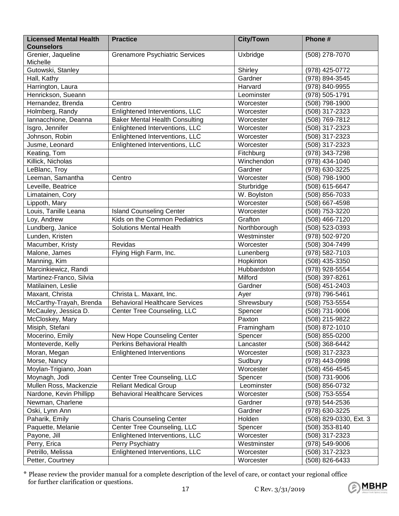| <b>Licensed Mental Health</b><br><b>Counselors</b> | <b>Practice</b>                       | <b>City/Town</b> | Phone #                |
|----------------------------------------------------|---------------------------------------|------------------|------------------------|
| Grenier, Jaqueline<br>Michelle                     | <b>Grenamore Psychiatric Services</b> | Uxbridge         | (508) 278-7070         |
| Gutowski, Stanley                                  |                                       | Shirley          | (978) 425-0772         |
| Hall, Kathy                                        |                                       | Gardner          | (978) 894-3545         |
| Harrington, Laura                                  |                                       | Harvard          | (978) 840-9955         |
| Henrickson, Sueann                                 |                                       | Leominster       | (978) 505-1791         |
| Hernandez, Brenda                                  | Centro                                | Worcester        | (508) 798-1900         |
| Holmberg, Randy                                    | Enlightened Interventions, LLC        | Worcester        | (508) 317-2323         |
| Iannacchione, Deanna                               | <b>Baker Mental Health Consulting</b> | Worcester        | (508) 769-7812         |
| Isgro, Jennifer                                    | Enlightened Interventions, LLC        | Worcester        | (508) 317-2323         |
| Johnson, Robin                                     | Enlightened Interventions, LLC        | Worcester        | (508) 317-2323         |
| Jusme, Leonard                                     | Enlightened Interventions, LLC        | Worcester        | (508) 317-2323         |
| Keating, Tom                                       |                                       | Fitchburg        | (978) 343-7298         |
| Killick, Nicholas                                  |                                       | Winchendon       | (978) 434-1040         |
| LeBlanc, Troy                                      |                                       | Gardner          | (978) 630-3225         |
| Leeman, Samantha                                   | Centro                                | Worcester        | (508) 798-1900         |
|                                                    |                                       |                  |                        |
| Leveille, Beatrice                                 |                                       | Sturbridge       | (508) 615-6647         |
| Limatainen, Cory                                   |                                       | W. Boylston      | (508) 856-7033         |
| Lippoth, Mary                                      |                                       | Worcester        | (508) 667-4598         |
| Louis, Tanille Leana                               | <b>Island Counseling Center</b>       | Worcester        | (508) 753-3220         |
| Loy, Andrew                                        | Kids on the Common Pediatrics         | Grafton          | (508) 466-7120         |
| Lundberg, Janice                                   | <b>Solutions Mental Health</b>        | Northborough     | (508) 523-0393         |
| Lunden, Kristen                                    |                                       | Westminster      | (978) 502-9720         |
| Macumber, Kristy                                   | Revidas                               | Worcester        | (508) 304-7499         |
| Malone, James                                      | Flying High Farm, Inc.                | Lunenberg        | (978) 582-7103         |
| Manning, Kim                                       |                                       | Hopkinton        | (508) 435-3350         |
| Marcinkiewicz, Randi                               |                                       | Hubbardston      | (978) 928-5554         |
| Martinez-Franco, Silvia                            |                                       | Milford          | (508) 397-8261         |
| Matilainen, Leslie                                 |                                       | Gardner          | (508) 451-2403         |
| Maxant, Christa                                    | Christa L. Maxant, Inc.               | Ayer             | (978) 796-5461         |
| McCarthy-Trayah, Brenda                            | <b>Behavioral Healthcare Services</b> | Shrewsbury       | (508) 753-5554         |
| McCauley, Jessica D.                               | Center Tree Counseling, LLC           | Spencer          | (508) 731-9006         |
| McCloskey, Mary                                    |                                       | Paxton           | (508) 215-9822         |
| Misiph, Stefani                                    |                                       | Framingham       | (508) 872-1010         |
| Mocerino, Emily                                    | New Hope Counseling Center            | Spencer          | (508) 855-0200         |
| Monteverde, Kelly                                  | Perkins Behavioral Health             | Lancaster        | (508) 368-6442         |
| Moran, Megan                                       | <b>Enlightened Interventions</b>      | Worcester        | (508) 317-2323         |
| Morse, Nancy                                       |                                       | Sudbury          | (978) 443-0998         |
| Moylan-Trigiano, Joan                              |                                       | Worcester        | (508) 456-4545         |
| Moynagh, Jodi                                      | Center Tree Counseling, LLC           | Spencer          | (508) 731-9006         |
| Mullen Ross, Mackenzie                             | <b>Reliant Medical Group</b>          | Leominster       | (508) 856-0732         |
| Nardone, Kevin Phillipp                            | <b>Behavioral Healthcare Services</b> | Worcester        | (508) 753-5554         |
| Newman, Charlene                                   |                                       | Gardner          | (978) 544-2536         |
| Oski, Lynn Ann                                     |                                       | Gardner          | (978) 630-3225         |
| Paharik, Emily                                     | <b>Charis Counseling Center</b>       | Holden           | (508) 829-0330, Ext. 3 |
| Paquette, Melanie                                  | Center Tree Counseling, LLC           | Spencer          | (508) 353-8140         |
| Payone, Jill                                       | Enlightened Interventions, LLC        | Worcester        | (508) 317-2323         |
| Perry, Erica                                       | Perry Psychiatry                      | Westminster      | (978) 549-9006         |
| Petrillo, Melissa                                  | Enlightened Interventions, LLC        | Worcester        | (508) 317-2323         |
| Petter, Courtney                                   |                                       | Worcester        | (508) 826-6433         |



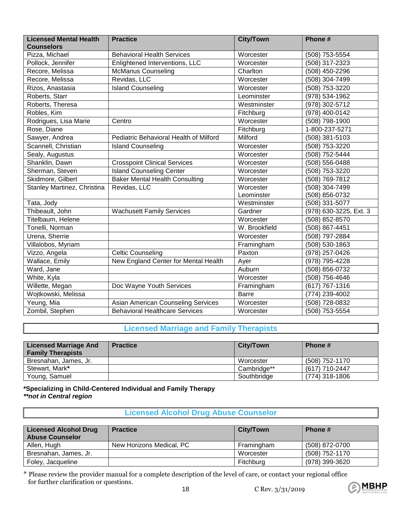| <b>Licensed Mental Health</b><br><b>Counselors</b> | <b>Practice</b>                        | <b>City/Town</b> | Phone #                |
|----------------------------------------------------|----------------------------------------|------------------|------------------------|
| Pizza, Michael                                     | <b>Behavioral Health Services</b>      | Worcester        | (508) 753-5554         |
| Pollock, Jennifer                                  | Enlightened Interventions, LLC         | Worcester        | (508) 317-2323         |
| Recore, Melissa                                    | <b>McManus Counseling</b>              | Charlton         | (508) 450-2296         |
| Recore, Melissa                                    | Revidas, LLC                           | Worcester        | (508) 304-7499         |
| Rizos, Anastasia                                   | <b>Island Counseling</b>               | Worcester        | (508) 753-3220         |
| Roberts, Starr                                     |                                        | Leominster       | (978) 534-1962         |
| Roberts, Theresa                                   |                                        | Westminster      | (978) 302-5712         |
| Robles, Kim                                        |                                        | Fitchburg        | (978) 400-0142         |
| Rodrigues, Lisa Marie                              | Centro                                 | Worcester        | (508) 798-1900         |
| Rose, Diane                                        |                                        | Fitchburg        | 1-800-237-5271         |
| Sawyer, Andrea                                     | Pediatric Behavioral Health of Milford | Milford          | (508) 381-5103         |
| Scannell, Christian                                | <b>Island Counseling</b>               | Worcester        | (508) 753-3220         |
| Sealy, Augustus                                    |                                        | Worcester        | (508) 752-5444         |
| Shanklin, Dawn                                     | <b>Crosspoint Clinical Services</b>    | Worcester        | (508) 556-0488         |
| Sherman, Steven                                    | <b>Island Counseling Center</b>        | Worcester        | (508) 753-3220         |
| Skidmore, Gilbert                                  | <b>Baker Mental Health Consulting</b>  | Worcester        | (508) 769-7812         |
| Stanley Martinez, Christina                        | Revidas, LLC                           | Worcester        | (508) 304-7499         |
|                                                    |                                        | Leominster       | (508) 856-0732         |
| Tata, Jody                                         |                                        | Westminster      | (508) 331-5077         |
| Thibeault, John                                    | <b>Wachusett Family Services</b>       | Gardner          | (978) 630-3225, Ext. 3 |
| Titelbaum, Helene                                  |                                        | Worcester        | (508) 852-8570         |
| Tonelli, Norman                                    |                                        | W. Brookfield    | (508) 867-4451         |
| Urena, Sherrie                                     |                                        | Worcester        | (508) 797-2884         |
| Villalobos, Myriam                                 |                                        | Framingham       | (508) 530-1863         |
| Vizzo, Angela                                      | <b>Celtic Counseling</b>               | Paxton           | (978) 257-0426         |
| Wallace, Emily                                     | New England Center for Mental Health   | Ayer             | (978) 795-4228         |
| Ward, Jane                                         |                                        | Auburn           | (508) 856-0732         |
| White, Kyla                                        |                                        | Worcester        | (508) 756-4646         |
| Willette, Megan                                    | Doc Wayne Youth Services               | Framingham       | (617) 767-1316         |
| Wojtkowski, Melissa                                |                                        | <b>Barre</b>     | (774) 239-4002         |
| Yeung, Mia                                         | Asian American Counseling Services     | Worcester        | (508) 728-0832         |
| Zombil, Stephen                                    | <b>Behavioral Healthcare Services</b>  | Worcester        | (508) 753-5554         |

**Licensed Marriage and Family Therapists**

| <b>Licensed Marriage And</b><br><b>Family Therapists</b> | <b>Practice</b> | <b>City/Town</b> | Phone #        |
|----------------------------------------------------------|-----------------|------------------|----------------|
| Bresnahan, James, Jr.                                    |                 | Worcester        | (508) 752-1170 |
| Stewart, Mark*                                           |                 | Cambridge**      | (617) 710-2447 |
| Young, Samuel                                            |                 | Southbridge      | (774) 318-1806 |

**\*Specializing in Child-Centered Individual and Family Therapy** *\*\*not in Central region*

**Licensed Alcohol Drug Abuse Counselor**

| <b>Licensed Alcohol Drug</b><br><b>Abuse Counselor</b> | <b>Practice</b>          | <b>City/Town</b> | Phone #        |
|--------------------------------------------------------|--------------------------|------------------|----------------|
| Allen, Hugh                                            | New Horizons Medical, PC | Framingham       | (508) 872-0700 |
| Bresnahan, James, Jr.                                  |                          | Worcester        | (508) 752-1170 |
| Foley, Jacqueline                                      |                          | Fitchburg        | (978) 399-3620 |

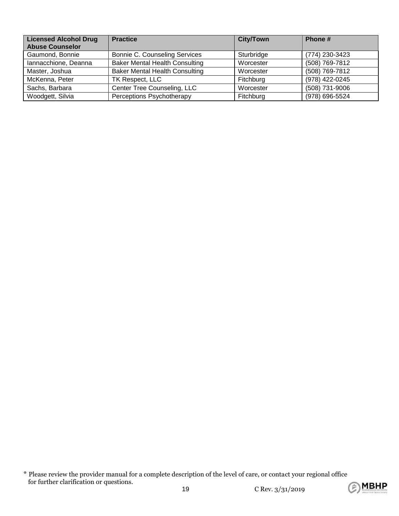| <b>Licensed Alcohol Drug</b><br><b>Abuse Counselor</b> | <b>Practice</b>                       | <b>City/Town</b> | Phone #        |
|--------------------------------------------------------|---------------------------------------|------------------|----------------|
| Gaumond, Bonnie                                        | Bonnie C. Counseling Services         | Sturbridge       | (774) 230-3423 |
| Iannacchione, Deanna                                   | <b>Baker Mental Health Consulting</b> | Worcester        | (508) 769-7812 |
| Master, Joshua                                         | <b>Baker Mental Health Consulting</b> | Worcester        | (508) 769-7812 |
| McKenna, Peter                                         | TK Respect, LLC                       | Fitchburg        | (978) 422-0245 |
| Sachs, Barbara                                         | Center Tree Counseling, LLC           | Worcester        | (508) 731-9006 |
| Woodgett, Silvia                                       | Perceptions Psychotherapy             | Fitchburg        | (978) 696-5524 |



<sup>\*</sup> Please review the provider manual for a complete description of the level of care, or contact your regional office for further clarification or questions.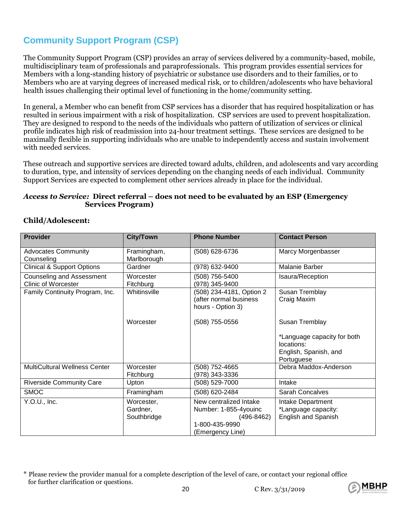# **Community Support Program (CSP)**

The Community Support Program (CSP) provides an array of services delivered by a community-based, mobile, multidisciplinary team of professionals and paraprofessionals. This program provides essential services for Members with a long-standing history of psychiatric or substance use disorders and to their families, or to Members who are at varying degrees of increased medical risk, or to children/adolescents who have behavioral health issues challenging their optimal level of functioning in the home/community setting.

In general, a Member who can benefit from CSP services has a disorder that has required hospitalization or has resulted in serious impairment with a risk of hospitalization. CSP services are used to prevent hospitalization. They are designed to respond to the needs of the individuals who pattern of utilization of services or clinical profile indicates high risk of readmission into 24-hour treatment settings. These services are designed to be maximally flexible in supporting individuals who are unable to independently access and sustain involvement with needed services.

These outreach and supportive services are directed toward adults, children, and adolescents and vary according to duration, type, and intensity of services depending on the changing needs of each individual. Community Support Services are expected to complement other services already in place for the individual.

#### *Access to Service:* **Direct referral – does not need to be evaluated by an ESP (Emergency Services Program)**

| <b>Provider</b>                                                | <b>City/Town</b>                      | <b>Phone Number</b>                                                                                     | <b>Contact Person</b>                                                            |
|----------------------------------------------------------------|---------------------------------------|---------------------------------------------------------------------------------------------------------|----------------------------------------------------------------------------------|
| <b>Advocates Community</b><br>Counseling                       | Framingham,<br>Marlborough            | (508) 628-6736                                                                                          | Marcy Morgenbasser                                                               |
| <b>Clinical &amp; Support Options</b>                          | Gardner                               | (978) 632-9400                                                                                          | Malanie Barber                                                                   |
| <b>Counseling and Assessment</b><br><b>Clinic of Worcester</b> | Worcester<br>Fitchburg                | (508) 756-5400<br>(978) 345-9400                                                                        | Isaura/Reception                                                                 |
| Family Continuity Program, Inc.                                | Whitinsville                          | (508) 234-4181, Option 2<br>(after normal business<br>hours - Option 3)                                 | Susan Tremblay<br>Craig Maxim                                                    |
|                                                                | Worcester                             | (508) 755-0556                                                                                          | Susan Tremblay                                                                   |
|                                                                |                                       |                                                                                                         | *Language capacity for both<br>locations:<br>English, Spanish, and<br>Portuguese |
| <b>MultiCultural Wellness Center</b>                           | Worcester<br>Fitchburg                | (508) 752-4665<br>(978) 343-3336                                                                        | Debra Maddox-Anderson                                                            |
| <b>Riverside Community Care</b>                                | Upton                                 | (508) 529-7000                                                                                          | Intake                                                                           |
| <b>SMOC</b>                                                    | Framingham                            | (508) 620-2484                                                                                          | Sarah Concalves                                                                  |
| Y.O.U., Inc.                                                   | Worcester,<br>Gardner,<br>Southbridge | New centralized Intake<br>Number: 1-855-4youinc<br>$(496 - 8462)$<br>1-800-435-9990<br>(Emergency Line) | Intake Department<br>*Language capacity:<br><b>English and Spanish</b>           |

#### **Child/Adolescent:**



<sup>\*</sup> Please review the provider manual for a complete description of the level of care, or contact your regional office for further clarification or questions.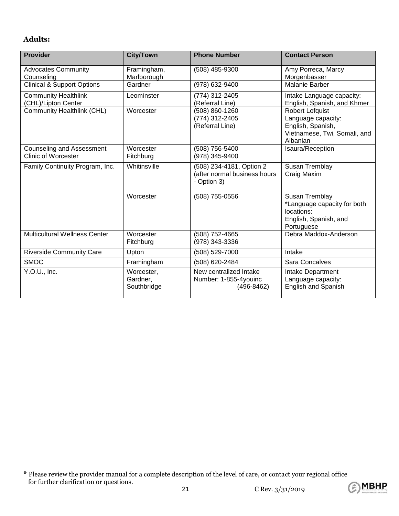### **Adults:**

| <b>Provider</b>                                                | <b>City/Town</b>                      | <b>Phone Number</b>                                                     | <b>Contact Person</b>                                                                                         |
|----------------------------------------------------------------|---------------------------------------|-------------------------------------------------------------------------|---------------------------------------------------------------------------------------------------------------|
| <b>Advocates Community</b><br>Counseling                       | Framingham,<br>Marlborough            | (508) 485-9300                                                          | Amy Porreca, Marcy<br>Morgenbasser                                                                            |
| <b>Clinical &amp; Support Options</b>                          | Gardner                               | (978) 632-9400                                                          | <b>Malanie Barber</b>                                                                                         |
| <b>Community Healthlink</b><br>(CHL)/Lipton Center             | Leominster                            | (774) 312-2405<br>(Referral Line)                                       | Intake Language capacity:<br>English, Spanish, and Khmer                                                      |
| Community Healthlink (CHL)                                     | Worcester                             | $(508) 860 - 1260$<br>(774) 312-2405<br>(Referral Line)                 | <b>Robert Lofquist</b><br>Language capacity:<br>English, Spanish,<br>Vietnamese, Twi, Somali, and<br>Albanian |
| <b>Counseling and Assessment</b><br><b>Clinic of Worcester</b> | Worcester<br>Fitchburg                | (508) 756-5400<br>(978) 345-9400                                        | Isaura/Reception                                                                                              |
| Family Continuity Program, Inc.                                | Whitinsville                          | (508) 234-4181, Option 2<br>(after normal business hours<br>- Option 3) | Susan Tremblay<br>Craig Maxim                                                                                 |
|                                                                | Worcester                             | (508) 755-0556                                                          | Susan Tremblay<br>*Language capacity for both<br>locations:<br>English, Spanish, and<br>Portuguese            |
| <b>Multicultural Wellness Center</b>                           | Worcester<br>Fitchburg                | (508) 752-4665<br>(978) 343-3336                                        | Debra Maddox-Anderson                                                                                         |
| <b>Riverside Community Care</b>                                | Upton                                 | (508) 529-7000                                                          | Intake                                                                                                        |
| <b>SMOC</b>                                                    | Framingham                            | (508) 620-2484                                                          | Sara Concalves                                                                                                |
| Y.O.U., Inc.                                                   | Worcester,<br>Gardner,<br>Southbridge | New centralized Intake<br>Number: 1-855-4youinc<br>$(496 - 8462)$       | Intake Department<br>Language capacity:<br>English and Spanish                                                |



<sup>\*</sup> Please review the provider manual for a complete description of the level of care, or contact your regional office for further clarification or questions. 21 C Rev. 3/31/2019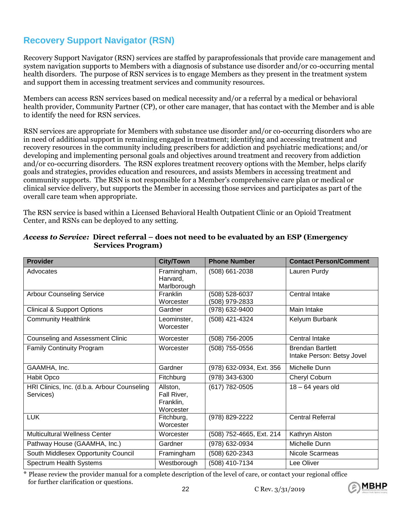## **Recovery Support Navigator (RSN)**

Recovery Support Navigator (RSN) services are staffed by paraprofessionals that provide care management and system navigation supports to Members with a diagnosis of substance use disorder and/or co-occurring mental health disorders. The purpose of RSN services is to engage Members as they present in the treatment system and support them in accessing treatment services and community resources.

Members can access RSN services based on medical necessity and/or a referral by a medical or behavioral health provider, Community Partner (CP), or other care manager, that has contact with the Member and is able to identify the need for RSN services.

RSN services are appropriate for Members with substance use disorder and/or co-occurring disorders who are in need of additional support in remaining engaged in treatment; identifying and accessing treatment and recovery resources in the community including prescribers for addiction and psychiatric medications; and/or developing and implementing personal goals and objectives around treatment and recovery from addiction and/or co-occurring disorders. The RSN explores treatment recovery options with the Member, helps clarify goals and strategies, provides education and resources, and assists Members in accessing treatment and community supports. The RSN is not responsible for a Member's comprehensive care plan or medical or clinical service delivery, but supports the Member in accessing those services and participates as part of the overall care team when appropriate.

The RSN service is based within a Licensed Behavioral Health Outpatient Clinic or an Opioid Treatment Center, and RSNs can be deployed to any setting.

| <b>Provider</b>                                          | <b>City/Town</b>                                  | <b>Phone Number</b>              | <b>Contact Person/Comment</b>                         |
|----------------------------------------------------------|---------------------------------------------------|----------------------------------|-------------------------------------------------------|
| Advocates                                                | Framingham,<br>Harvard,<br>Marlborough            | (508) 661-2038                   | Lauren Purdy                                          |
| <b>Arbour Counseling Service</b>                         | Franklin<br>Worcester                             | (508) 528-6037<br>(508) 979-2833 | <b>Central Intake</b>                                 |
| <b>Clinical &amp; Support Options</b>                    | Gardner                                           | (978) 632-9400                   | Main Intake                                           |
| <b>Community Healthlink</b>                              | Leominster,<br>Worcester                          | (508) 421-4324                   | Kelyum Burbank                                        |
| <b>Counseling and Assessment Clinic</b>                  | Worcester                                         | (508) 756-2005                   | Central Intake                                        |
| <b>Family Continuity Program</b>                         | Worcester                                         | (508) 755-0556                   | <b>Brendan Bartlett</b><br>Intake Person: Betsy Jovel |
| GAAMHA, Inc.                                             | Gardner                                           | (978) 632-0934, Ext. 356         | Michelle Dunn                                         |
| Habit Opco                                               | Fitchburg                                         | (978) 343-6300                   | Cheryl Coburn                                         |
| HRI Clinics, Inc. (d.b.a. Arbour Counseling<br>Services) | Allston,<br>Fall River,<br>Franklin,<br>Worcester | (617) 782-0505                   | $18 - 64$ years old                                   |
| <b>LUK</b>                                               | Fitchburg,<br>Worcester                           | (978) 829-2222                   | <b>Central Referral</b>                               |
| <b>Multicultural Wellness Center</b>                     | Worcester                                         | (508) 752-4665, Ext. 214         | Kathryn Alston                                        |
| Pathway House (GAAMHA, Inc.)                             | Gardner                                           | (978) 632-0934                   | Michelle Dunn                                         |
| South Middlesex Opportunity Council                      | Framingham                                        | (508) 620-2343                   | Nicole Scarmeas                                       |
| Spectrum Health Systems                                  | Westborough                                       | (508) 410-7134                   | Lee Oliver                                            |

#### *Access to Service:* **Direct referral – does not need to be evaluated by an ESP (Emergency Services Program)**

\* Please review the provider manual for a complete description of the level of care, or contact your regional office for further clarification or questions.



**MBHP**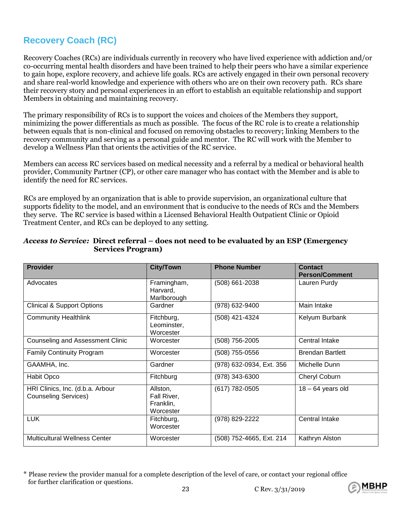## **Recovery Coach (RC)**

Recovery Coaches (RCs) are individuals currently in recovery who have lived experience with addiction and/or co-occurring mental health disorders and have been trained to help their peers who have a similar experience to gain hope, explore recovery, and achieve life goals. RCs are actively engaged in their own personal recovery and share real-world knowledge and experience with others who are on their own recovery path. RCs share their recovery story and personal experiences in an effort to establish an equitable relationship and support Members in obtaining and maintaining recovery.

The primary responsibility of RCs is to support the voices and choices of the Members they support, minimizing the power differentials as much as possible. The focus of the RC role is to create a relationship between equals that is non-clinical and focused on removing obstacles to recovery; linking Members to the recovery community and serving as a personal guide and mentor. The RC will work with the Member to develop a Wellness Plan that orients the activities of the RC service.

Members can access RC services based on medical necessity and a referral by a medical or behavioral health provider, Community Partner (CP), or other care manager who has contact with the Member and is able to identify the need for RC services.

RCs are employed by an organization that is able to provide supervision, an organizational culture that supports fidelity to the model, and an environment that is conducive to the needs of RCs and the Members they serve. The RC service is based within a Licensed Behavioral Health Outpatient Clinic or Opioid Treatment Center, and RCs can be deployed to any setting.

| <b>Provider</b>                                                 | <b>City/Town</b>                                  | <b>Phone Number</b>      | <b>Contact</b><br><b>Person/Comment</b> |
|-----------------------------------------------------------------|---------------------------------------------------|--------------------------|-----------------------------------------|
| Advocates                                                       | Framingham,<br>Harvard,<br>Marlborough            | (508) 661-2038           | Lauren Purdy                            |
| <b>Clinical &amp; Support Options</b>                           | Gardner                                           | (978) 632-9400           | Main Intake                             |
| <b>Community Healthlink</b>                                     | Fitchburg,<br>Leominster,<br>Worcester            | (508) 421-4324           | Kelyum Burbank                          |
| Counseling and Assessment Clinic                                | Worcester                                         | (508) 756-2005           | Central Intake                          |
| <b>Family Continuity Program</b>                                | Worcester                                         | (508) 755-0556           | <b>Brendan Bartlett</b>                 |
| GAAMHA, Inc.                                                    | Gardner                                           | (978) 632-0934, Ext. 356 | Michelle Dunn                           |
| Habit Opco                                                      | Fitchburg                                         | (978) 343-6300           | Cheryl Coburn                           |
| HRI Clinics, Inc. (d.b.a. Arbour<br><b>Counseling Services)</b> | Allston,<br>Fall River,<br>Franklin,<br>Worcester | (617) 782-0505           | $18 - 64$ years old                     |
| <b>LUK</b>                                                      | Fitchburg,<br>Worcester                           | (978) 829-2222           | Central Intake                          |
| <b>Multicultural Wellness Center</b>                            | Worcester                                         | (508) 752-4665, Ext. 214 | Kathryn Alston                          |

#### *Access to Service:* **Direct referral – does not need to be evaluated by an ESP (Emergency Services Program)**



<sup>\*</sup> Please review the provider manual for a complete description of the level of care, or contact your regional office for further clarification or questions.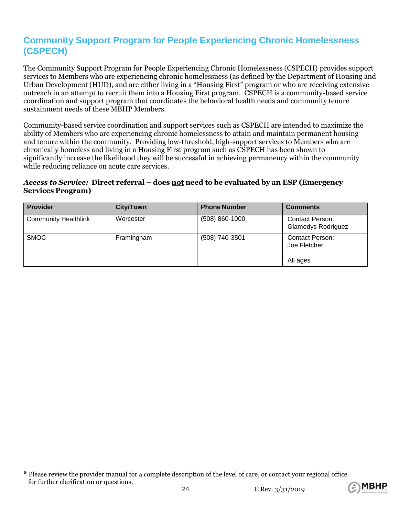### **Community Support Program for People Experiencing Chronic Homelessness (CSPECH)**

The Community Support Program for People Experiencing Chronic Homelessness (CSPECH) provides support services to Members who are experiencing chronic homelessness (as defined by the Department of Housing and Urban Development (HUD), and are either living in a "Housing First" program or who are receiving extensive outreach in an attempt to recruit them into a Housing First program. CSPECH is a community-based service coordination and support program that coordinates the behavioral health needs and community tenure sustainment needs of these MBHP Members.

Community-based service coordination and support services such as CSPECH are intended to maximize the ability of Members who are experiencing chronic homelessness to attain and maintain permanent housing and tenure within the community. Providing low-threshold, high-support services to Members who are chronically homeless and living in a Housing First program such as CSPECH has been shown to significantly increase the likelihood they will be successful in achieving permanency within the community while reducing reliance on acute care services.

#### *Access to Service:* **Direct referral – does not need to be evaluated by an ESP (Emergency Services Program)**

| <b>Provider</b>             | <b>City/Town</b> | <b>Phone Number</b> | <b>Comments</b>                                     |
|-----------------------------|------------------|---------------------|-----------------------------------------------------|
| <b>Community Healthlink</b> | Worcester        | $(508) 860 - 1000$  | <b>Contact Person:</b><br><b>Glamedys Rodriguez</b> |
| <b>SMOC</b>                 | Framingham       | (508) 740-3501      | <b>Contact Person:</b><br>Joe Fletcher<br>All ages  |



<sup>\*</sup> Please review the provider manual for a complete description of the level of care, or contact your regional office for further clarification or questions.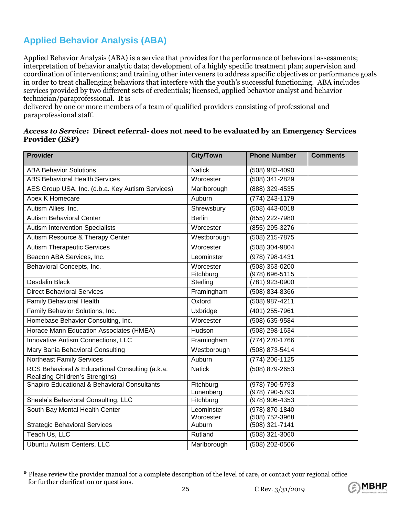# **Applied Behavior Analysis (ABA)**

Applied Behavior Analysis (ABA) is a service that provides for the performance of behavioral assessments; interpretation of behavior analytic data; development of a highly specific treatment plan; supervision and coordination of interventions; and training other interveners to address specific objectives or performance goals in order to treat challenging behaviors that interfere with the youth's successful functioning. ABA includes services provided by two different sets of credentials; licensed, applied behavior analyst and behavior technician/paraprofessional. It is

delivered by one or more members of a team of qualified providers consisting of professional and paraprofessional staff.

#### *Access to Service***: Direct referral- does not need to be evaluated by an Emergency Services Provider (ESP)**

| <b>Provider</b>                                                                    | <b>City/Town</b>        | <b>Phone Number</b>                | <b>Comments</b> |
|------------------------------------------------------------------------------------|-------------------------|------------------------------------|-----------------|
| <b>ABA Behavior Solutions</b>                                                      | <b>Natick</b>           | (508) 983-4090                     |                 |
| <b>ABS Behavioral Health Services</b>                                              | Worcester               | (508) 341-2829                     |                 |
| AES Group USA, Inc. (d.b.a. Key Autism Services)                                   | Marlborough             | (888) 329-4535                     |                 |
| Apex K Homecare                                                                    | Auburn                  | $(774)$ 243-1179                   |                 |
| Autism Allies, Inc.                                                                | Shrewsbury              | (508) 443-0018                     |                 |
| <b>Autism Behavioral Center</b>                                                    | <b>Berlin</b>           | (855) 222-7980                     |                 |
| <b>Autism Intervention Specialists</b>                                             | Worcester               | (855) 295-3276                     |                 |
| Autism Resource & Therapy Center                                                   | Westborough             | $(508)$ 215-7875                   |                 |
| <b>Autism Therapeutic Services</b>                                                 | Worcester               | (508) 304-9804                     |                 |
| Beacon ABA Services, Inc.                                                          | Leominster              | (978) 798-1431                     |                 |
| Behavioral Concepts, Inc.                                                          | Worcester<br>Fitchburg  | $(508)$ 363-0200<br>(978) 696-5115 |                 |
| <b>Desdalin Black</b>                                                              | Sterling                | (781) 923-0900                     |                 |
| <b>Direct Behavioral Services</b>                                                  | Framingham              | (508) 834-8366                     |                 |
| Family Behavioral Health                                                           | Oxford                  | $(508)$ 987-4211                   |                 |
| Family Behavior Solutions, Inc.                                                    | Uxbridge                | (401) 255-7961                     |                 |
| Homebase Behavior Consulting, Inc.                                                 | Worcester               | $(508) 635 - 9584$                 |                 |
| Horace Mann Education Associates (HMEA)                                            | Hudson                  | (508) 298-1634                     |                 |
| Innovative Autism Connections, LLC                                                 | Framingham              | (774) 270-1766                     |                 |
| Mary Bania Behavioral Consulting                                                   | Westborough             | (508) 873-5414                     |                 |
| <b>Northeast Family Services</b>                                                   | Auburn                  | (774) 206-1125                     |                 |
| RCS Behavioral & Educational Consulting (a.k.a.<br>Realizing Children's Strengths) | <b>Natick</b>           | (508) 879-2653                     |                 |
| Shapiro Educational & Behavioral Consultants                                       | Fitchburg<br>Lunenberg  | (978) 790-5793<br>(978) 790-5793   |                 |
| Sheela's Behavioral Consulting, LLC                                                | Fitchburg               | (978) 906-4353                     |                 |
| South Bay Mental Health Center                                                     | Leominster<br>Worcester | (978) 870-1840<br>(508) 752-3968   |                 |
| <b>Strategic Behavioral Services</b>                                               | Auburn                  | (508) 321-7141                     |                 |
| Teach Us, LLC                                                                      | Rutland                 | (508) 321-3060                     |                 |
| Ubuntu Autism Centers, LLC                                                         | Marlborough             | (508) 202-0506                     |                 |



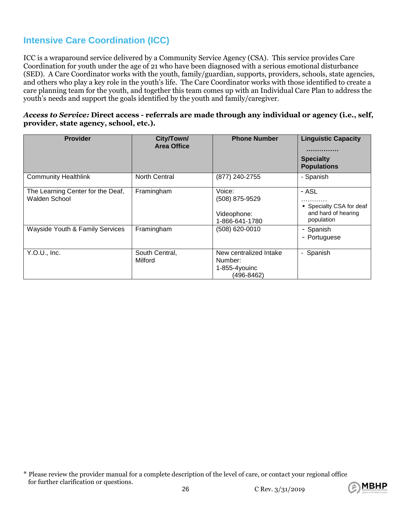## **Intensive Care Coordination (ICC)**

ICC is a wraparound service delivered by a Community Service Agency (CSA). This service provides Care Coordination for youth under the age of 21 who have been diagnosed with a serious emotional disturbance (SED). A Care Coordinator works with the youth, family/guardian, supports, providers, schools, state agencies, and others who play a key role in the youth's life. The Care Coordinator works with those identified to create a care planning team for the youth, and together this team comes up with an Individual Care Plan to address the youth's needs and support the goals identified by the youth and family/caregiver.

#### *Access to Service:* **Direct access - referrals are made through any individual or agency (i.e., self, provider, state agency, school, etc.).**

| <b>Provider</b>                                           | City/Town/<br><b>Area Office</b> | <b>Phone Number</b>                                                     | <b>Linguistic Capacity</b><br><b>Specialty</b><br><b>Populations</b>        |
|-----------------------------------------------------------|----------------------------------|-------------------------------------------------------------------------|-----------------------------------------------------------------------------|
| <b>Community Healthlink</b>                               | <b>North Central</b>             | (877) 240-2755                                                          | - Spanish                                                                   |
| The Learning Center for the Deaf,<br><b>Walden School</b> | Framingham                       | Voice:<br>(508) 875-9529<br>Videophone:<br>1-866-641-1780               | - ASL<br>.<br>• Specialty CSA for deaf<br>and hard of hearing<br>population |
| Wayside Youth & Family Services                           | Framingham                       | (508) 620-0010                                                          | - Spanish<br>- Portuguese                                                   |
| Y.O.U., Inc.                                              | South Central,<br>Milford        | New centralized Intake<br>Number:<br>$1-855-4$ youinc<br>$(496 - 8462)$ | - Spanish                                                                   |



<sup>\*</sup> Please review the provider manual for a complete description of the level of care, or contact your regional office for further clarification or questions.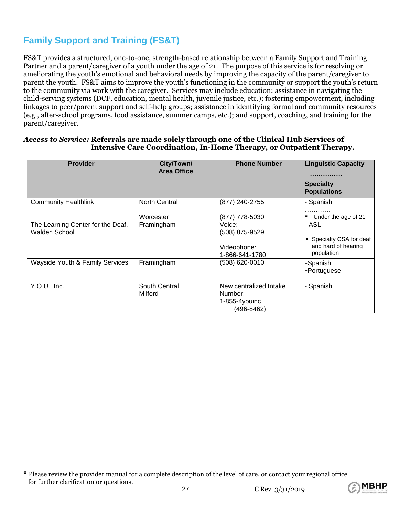# **Family Support and Training (FS&T)**

FS&T provides a structured, one-to-one, strength-based relationship between a Family Support and Training Partner and a parent/caregiver of a youth under the age of 21. The purpose of this service is for resolving or ameliorating the youth's emotional and behavioral needs by improving the capacity of the parent/caregiver to parent the youth. FS&T aims to improve the youth's functioning in the community or support the youth's return to the community via work with the caregiver. Services may include education; assistance in navigating the child-serving systems (DCF, education, mental health, juvenile justice, etc.); fostering empowerment, including linkages to peer/parent support and self-help groups; assistance in identifying formal and community resources (e.g., after-school programs, food assistance, summer camps, etc.); and support, coaching, and training for the parent/caregiver.

#### *Access to Service:* **Referrals are made solely through one of the Clinical Hub Services of Intensive Care Coordination, In-Home Therapy, or Outpatient Therapy.**

| <b>Provider</b>                                           | City/Town/<br><b>Area Office</b> | <b>Phone Number</b>                                                 | <b>Linguistic Capacity</b><br>.<br><b>Specialty</b><br><b>Populations</b> |
|-----------------------------------------------------------|----------------------------------|---------------------------------------------------------------------|---------------------------------------------------------------------------|
| <b>Community Healthlink</b>                               | North Central<br>Worcester       | (877) 240-2755<br>(877) 778-5030                                    | - Spanish<br>.<br>Under the age of 21                                     |
| The Learning Center for the Deaf,<br><b>Walden School</b> | Framingham                       | Voice:<br>(508) 875-9529<br>Videophone:<br>1-866-641-1780           | - ASL<br>• Specialty CSA for deaf<br>and hard of hearing<br>population    |
| Wayside Youth & Family Services                           | Framingham                       | (508) 620-0010                                                      | -Spanish<br>-Portuguese                                                   |
| Y.0.U., Inc.                                              | South Central,<br>Milford        | New centralized Intake<br>Number:<br>$1-855-4$ youinc<br>(496-8462) | - Spanish                                                                 |



<sup>\*</sup> Please review the provider manual for a complete description of the level of care, or contact your regional office for further clarification or questions.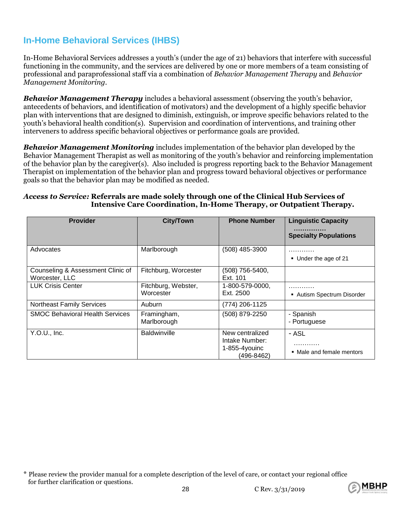## **In-Home Behavioral Services (IHBS)**

In-Home Behavioral Services addresses a youth's (under the age of 21) behaviors that interfere with successful functioning in the community, and the services are delivered by one or more members of a team consisting of professional and paraprofessional staff via a combination of *Behavior Management Therapy* and *Behavior Management Monitoring*.

**Behavior Management Therapy** includes a behavioral assessment (observing the youth's behavior, antecedents of behaviors, and identification of motivators) and the development of a highly specific behavior plan with interventions that are designed to diminish, extinguish, or improve specific behaviors related to the youth's behavioral health condition(s). Supervision and coordination of interventions, and training other interveners to address specific behavioral objectives or performance goals are provided.

*Behavior Management Monitoring* includes implementation of the behavior plan developed by the Behavior Management Therapist as well as monitoring of the youth's behavior and reinforcing implementation of the behavior plan by the caregiver(s). Also included is progress reporting back to the Behavior Management Therapist on implementation of the behavior plan and progress toward behavioral objectives or performance goals so that the behavior plan may be modified as needed.

#### *Access to Service:* **Referrals are made solely through one of the Clinical Hub Services of Intensive Care Coordination, In-Home Therapy, or Outpatient Therapy.**

| <b>Provider</b>                                     | <b>City/Town</b>                 | <b>Phone Number</b>                                                  | <b>Linguistic Capacity</b><br><br><b>Specialty Populations</b> |
|-----------------------------------------------------|----------------------------------|----------------------------------------------------------------------|----------------------------------------------------------------|
| Advocates                                           | Marlborough                      | (508) 485-3900                                                       | Under the age of 21                                            |
| Counseling & Assessment Clinic of<br>Worcester, LLC | Fitchburg, Worcester             | (508) 756-5400,<br>Ext. 101                                          |                                                                |
| <b>LUK Crisis Center</b>                            | Fitchburg, Webster,<br>Worcester | 1-800-579-0000,<br>Ext. 2500                                         | .<br>■ Autism Spectrum Disorder                                |
| <b>Northeast Family Services</b>                    | Auburn                           | (774) 206-1125                                                       |                                                                |
| <b>SMOC Behavioral Health Services</b>              | Framingham,<br>Marlborough       | (508) 879-2250                                                       | - Spanish<br>- Portuguese                                      |
| Y.0.U., Inc.                                        | <b>Baldwinville</b>              | New centralized<br>Intake Number:<br>1-855-4youinc<br>$(496 - 8462)$ | - ASL<br>.<br>• Male and female mentors                        |



<sup>\*</sup> Please review the provider manual for a complete description of the level of care, or contact your regional office for further clarification or questions.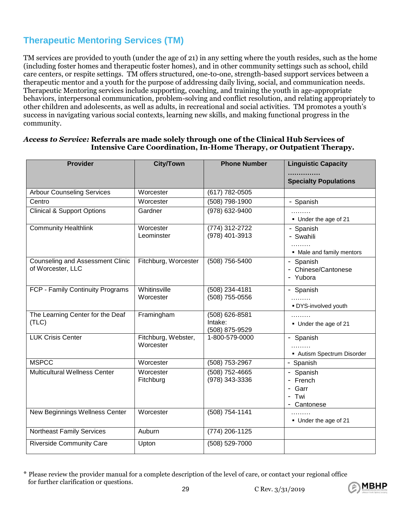# **Therapeutic Mentoring Services (TM)**

TM services are provided to youth (under the age of 21) in any setting where the youth resides, such as the home (including foster homes and therapeutic foster homes), and in other community settings such as school, child care centers, or respite settings. TM offers structured, one-to-one, strength-based support services between a therapeutic mentor and a youth for the purpose of addressing daily living, social, and communication needs. Therapeutic Mentoring services include supporting, coaching, and training the youth in age-appropriate behaviors, interpersonal communication, problem-solving and conflict resolution, and relating appropriately to other children and adolescents, as well as adults, in recreational and social activities. TM promotes a youth's success in navigating various social contexts, learning new skills, and making functional progress in the community.

#### *Access to Service:* **Referrals are made solely through one of the Clinical Hub Services of Intensive Care Coordination, In-Home Therapy, or Outpatient Therapy.**

| <b>Provider</b>                                              | <b>City/Town</b>                 | <b>Phone Number</b>                         | <b>Linguistic Capacity</b>                               |
|--------------------------------------------------------------|----------------------------------|---------------------------------------------|----------------------------------------------------------|
|                                                              |                                  |                                             | .                                                        |
|                                                              |                                  |                                             | <b>Specialty Populations</b>                             |
| <b>Arbour Counseling Services</b>                            | Worcester                        | (617) 782-0505                              |                                                          |
| Centro                                                       | Worcester                        | (508) 798-1900                              | - Spanish                                                |
| <b>Clinical &amp; Support Options</b>                        | Gardner                          | (978) 632-9400                              | Under the age of 21                                      |
| <b>Community Healthlink</b>                                  | Worcester<br>Leominster          | $(774)$ 312-2722<br>(978) 401-3913          | - Spanish<br>- Swahili<br>.<br>• Male and family mentors |
| <b>Counseling and Assessment Clinic</b><br>of Worcester, LLC | Fitchburg, Worcester             | (508) 756-5400                              | - Spanish<br>- Chinese/Cantonese<br>- Yubora             |
| FCP - Family Continuity Programs                             | Whitinsville<br>Worcester        | (508) 234-4181<br>(508) 755-0556            | - Spanish<br>DYS-involved youth                          |
| The Learning Center for the Deaf<br>(TLC)                    | Framingham                       | (508) 626-8581<br>Intake:<br>(508) 875-9529 | .<br>Under the age of 21                                 |
| <b>LUK Crisis Center</b>                                     | Fitchburg, Webster,<br>Worcester | 1-800-579-0000                              | - Spanish<br>Autism Spectrum Disorder                    |
| <b>MSPCC</b>                                                 | Worcester                        | (508) 753-2967                              | - Spanish                                                |
| <b>Multicultural Wellness Center</b>                         | Worcester<br>Fitchburg           | (508) 752-4665<br>(978) 343-3336            | - Spanish<br>- French<br>Garr<br>Twi<br>- Cantonese      |
| New Beginnings Wellness Center                               | Worcester                        | (508) 754-1141                              | Under the age of 21                                      |
| <b>Northeast Family Services</b>                             | Auburn                           | (774) 206-1125                              |                                                          |
| <b>Riverside Community Care</b>                              | Upton                            | (508) 529-7000                              |                                                          |

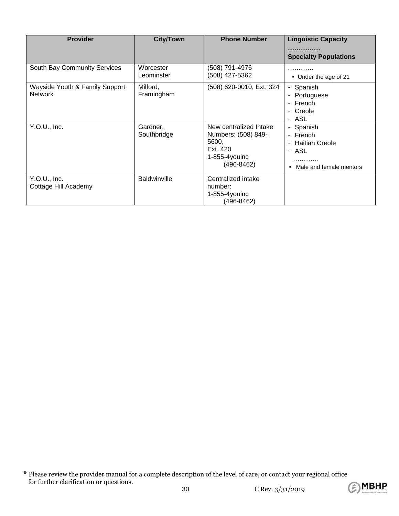| <b>Provider</b>                                  | <b>City/Town</b>        | <b>Phone Number</b>                                                                                      | <b>Linguistic Capacity</b><br>.<br><b>Specialty Populations</b>                                           |
|--------------------------------------------------|-------------------------|----------------------------------------------------------------------------------------------------------|-----------------------------------------------------------------------------------------------------------|
| South Bay Community Services                     | Worcester<br>Leominster | (508) 791-4976<br>(508) 427-5362                                                                         | Under the age of 21                                                                                       |
| Wayside Youth & Family Support<br><b>Network</b> | Milford,<br>Framingham  | (508) 620-0010, Ext. 324                                                                                 | - Spanish<br>Portuguese<br>- French<br>- Creole<br>- ASL                                                  |
| Y.0.U., Inc.                                     | Gardner,<br>Southbridge | New centralized Intake<br>Numbers: (508) 849-<br>5600,<br>Ext. 420<br>$1-855-4$ youinc<br>$(496 - 8462)$ | - Spanish<br>- French<br><b>Haitian Creole</b><br>- ASL<br>.<br>Male and female mentors<br>$\blacksquare$ |
| Y.O.U., Inc.<br>Cottage Hill Academy             | <b>Baldwinville</b>     | Centralized intake<br>number:<br>$1-855-4$ youinc<br>(496-8462)                                          |                                                                                                           |





<sup>\*</sup> Please review the provider manual for a complete description of the level of care, or contact your regional office for further clarification or questions.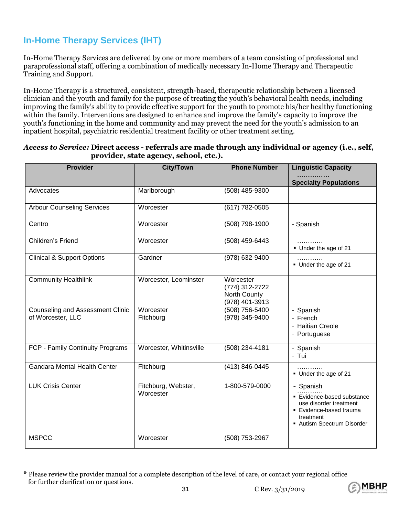# **In-Home Therapy Services (IHT)**

In-Home Therapy Services are delivered by one or more members of a team consisting of professional and paraprofessional staff, offering a combination of medically necessary In-Home Therapy and Therapeutic Training and Support.

In-Home Therapy is a structured, consistent, strength-based, therapeutic relationship between a licensed clinician and the youth and family for the purpose of treating the youth's behavioral health needs, including improving the family's ability to provide effective support for the youth to promote his/her healthy functioning within the family. Interventions are designed to enhance and improve the family's capacity to improve the youth's functioning in the home and community and may prevent the need for the youth's admission to an inpatient hospital, psychiatric residential treatment facility or other treatment setting.

| <b>Provider</b>                                              | <b>City/Town</b>                 | <b>Phone Number</b>                                                  | <b>Linguistic Capacity</b>                                                                                                          |
|--------------------------------------------------------------|----------------------------------|----------------------------------------------------------------------|-------------------------------------------------------------------------------------------------------------------------------------|
|                                                              |                                  |                                                                      | <b>Specialty Populations</b>                                                                                                        |
| Advocates                                                    | Marlborough                      | $(508)$ 485-9300                                                     |                                                                                                                                     |
| <b>Arbour Counseling Services</b>                            | Worcester                        | (617) 782-0505                                                       |                                                                                                                                     |
| Centro                                                       | Worcester                        | (508) 798-1900                                                       | - Spanish                                                                                                                           |
| Children's Friend                                            | Worcester                        | (508) 459-6443                                                       | .<br>Under the age of 21                                                                                                            |
| <b>Clinical &amp; Support Options</b>                        | Gardner                          | (978) 632-9400                                                       | Under the age of 21                                                                                                                 |
| <b>Community Healthlink</b>                                  | Worcester, Leominster            | Worcester<br>(774) 312-2722<br><b>North County</b><br>(978) 401-3913 |                                                                                                                                     |
| <b>Counseling and Assessment Clinic</b><br>of Worcester, LLC | Worcester<br>Fitchburg           | $(508)$ 756-5400<br>(978) 345-9400                                   | - Spanish<br>- French<br>- Haitian Creole<br>- Portuguese                                                                           |
| FCP - Family Continuity Programs                             | Worcester, Whitinsville          | (508) 234-4181                                                       | - Spanish<br>- Tui                                                                                                                  |
| Gandara Mental Health Center                                 | Fitchburg                        | (413) 846-0445                                                       | .<br>Under the age of 21                                                                                                            |
| <b>LUK Crisis Center</b>                                     | Fitchburg, Webster,<br>Worcester | 1-800-579-0000                                                       | - Spanish<br>Evidence-based substance<br>use disorder treatment<br>• Evidence-based trauma<br>treatment<br>Autism Spectrum Disorder |
| <b>MSPCC</b>                                                 | Worcester                        | (508) 753-2967                                                       |                                                                                                                                     |

#### *Access to Service:* **Direct access - referrals are made through any individual or agency (i.e., self, provider, state agency, school, etc.).**

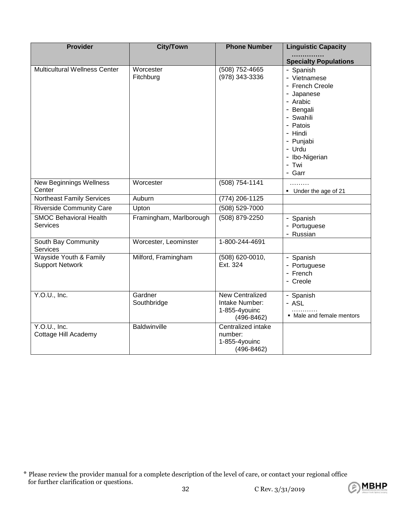| <b>Provider</b>                                  | <b>City/Town</b>        | <b>Phone Number</b>                                                         | <b>Linguistic Capacity</b>                                                                                                                                                          |
|--------------------------------------------------|-------------------------|-----------------------------------------------------------------------------|-------------------------------------------------------------------------------------------------------------------------------------------------------------------------------------|
|                                                  |                         |                                                                             | <b>Specialty Populations</b>                                                                                                                                                        |
| <b>Multicultural Wellness Center</b>             | Worcester<br>Fitchburg  | $(508) 752 - 4665$<br>(978) 343-3336                                        | - Spanish<br>- Vietnamese<br>- French Creole<br>- Japanese<br>- Arabic<br>- Bengali<br>- Swahili<br>- Patois<br>- Hindi<br>- Punjabi<br>- Urdu<br>- Ibo-Nigerian<br>- Twi<br>- Garr |
| <b>New Beginnings Wellness</b><br>Center         | Worcester               | (508) 754-1141                                                              | .<br>Under the age of 21                                                                                                                                                            |
| Northeast Family Services                        | Auburn                  | (774) 206-1125                                                              |                                                                                                                                                                                     |
| <b>Riverside Community Care</b>                  | Upton                   | $(508) 529 - 7000$                                                          |                                                                                                                                                                                     |
| <b>SMOC Behavioral Health</b><br>Services        | Framingham, Marlborough | (508) 879-2250                                                              | - Spanish<br>- Portuguese<br>- Russian                                                                                                                                              |
| South Bay Community<br>Services                  | Worcester, Leominster   | 1-800-244-4691                                                              |                                                                                                                                                                                     |
| Wayside Youth & Family<br><b>Support Network</b> | Milford, Framingham     | $(508) 620 - 0010,$<br>Ext. 324                                             | - Spanish<br>- Portuguese<br>- French<br>- Creole                                                                                                                                   |
| Y.O.U., Inc.                                     | Gardner<br>Southbridge  | <b>New Centralized</b><br>Intake Number:<br>1-855-4youinc<br>$(496 - 8462)$ | - Spanish<br>- ASL<br>• Male and female mentors                                                                                                                                     |
| Y.O.U., Inc.<br>Cottage Hill Academy             | <b>Baldwinville</b>     | Centralized intake<br>number:<br>1-855-4youinc<br>$(496 - 8462)$            |                                                                                                                                                                                     |





<sup>\*</sup> Please review the provider manual for a complete description of the level of care, or contact your regional office for further clarification or questions.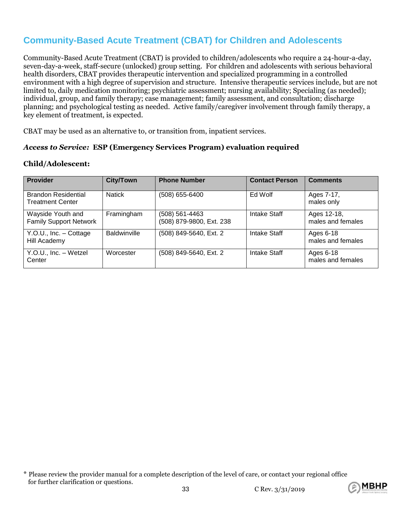# **Community-Based Acute Treatment (CBAT) for Children and Adolescents**

Community-Based Acute Treatment (CBAT) is provided to children/adolescents who require a 24-hour-a-day, seven-day-a-week, staff-secure (unlocked) group setting. For children and adolescents with serious behavioral health disorders, CBAT provides therapeutic intervention and specialized programming in a controlled environment with a high degree of supervision and structure. Intensive therapeutic services include, but are not limited to, daily medication monitoring; psychiatric assessment; nursing availability; Specialing (as needed); individual, group, and family therapy; case management; family assessment, and consultation; discharge planning; and psychological testing as needed. Active family/caregiver involvement through family therapy, a key element of treatment, is expected.

CBAT may be used as an alternative to, or transition from, inpatient services.

#### *Access to Service:* **ESP (Emergency Services Program) evaluation required**

#### **Child/Adolescent:**

| Provider                                              | <b>City/Town</b>    | <b>Phone Number</b>                        | <b>Contact Person</b> | <b>Comments</b>                  |
|-------------------------------------------------------|---------------------|--------------------------------------------|-----------------------|----------------------------------|
| <b>Brandon Residential</b><br><b>Treatment Center</b> | Natick              | (508) 655-6400                             | Ed Wolf               | Ages 7-17,<br>males only         |
| Wayside Youth and<br><b>Family Support Network</b>    | Framingham          | (508) 561-4463<br>(508) 879-9800, Ext. 238 | Intake Staff          | Ages 12-18,<br>males and females |
| Y.O.U., Inc. - Cottage<br>Hill Academy                | <b>Baldwinville</b> | (508) 849-5640, Ext. 2                     | Intake Staff          | Ages 6-18<br>males and females   |
| Y.O.U., Inc. - Wetzel<br>Center                       | Worcester           | (508) 849-5640, Ext. 2                     | Intake Staff          | Ages 6-18<br>males and females   |



<sup>\*</sup> Please review the provider manual for a complete description of the level of care, or contact your regional office for further clarification or questions.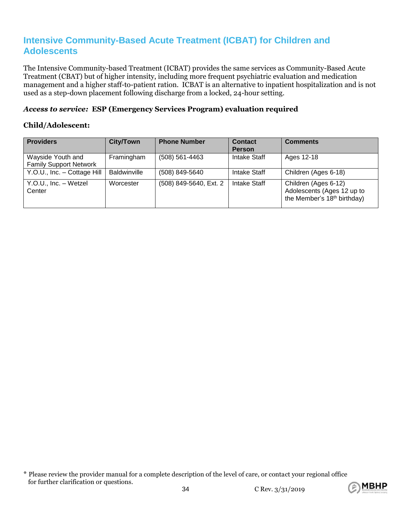### **Intensive Community-Based Acute Treatment (ICBAT) for Children and Adolescents**

The Intensive Community-based Treatment (ICBAT) provides the same services as Community-Based Acute Treatment (CBAT) but of higher intensity, including more frequent psychiatric evaluation and medication management and a higher staff-to-patient ration. ICBAT is an alternative to inpatient hospitalization and is not used as a step-down placement following discharge from a locked, 24-hour setting.

#### *Access to service:* **ESP (Emergency Services Program) evaluation required**

#### **Child/Adolescent:**

| <b>Providers</b>                                   | <b>City/Town</b> | <b>Phone Number</b>    | <b>Contact</b><br><b>Person</b> | <b>Comments</b>                                                                               |
|----------------------------------------------------|------------------|------------------------|---------------------------------|-----------------------------------------------------------------------------------------------|
| Wayside Youth and<br><b>Family Support Network</b> | Framingham       | (508) 561-4463         | Intake Staff                    | Ages 12-18                                                                                    |
| Y.O.U., Inc. - Cottage Hill                        | Baldwinville     | (508) 849-5640         | <b>Intake Staff</b>             | Children (Ages 6-18)                                                                          |
| Y.O.U., Inc. - Wetzel<br>Center                    | Worcester        | (508) 849-5640, Ext. 2 | Intake Staff                    | Children (Ages 6-12)<br>Adolescents (Ages 12 up to<br>the Member's 18 <sup>th</sup> birthday) |





<sup>\*</sup> Please review the provider manual for a complete description of the level of care, or contact your regional office for further clarification or questions. 34 C Rev. 3/31/2019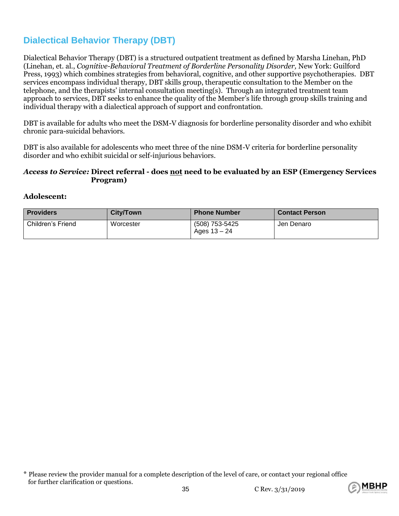# **Dialectical Behavior Therapy (DBT)**

Dialectical Behavior Therapy (DBT) is a structured outpatient treatment as defined by Marsha Linehan, PhD (Linehan, et. al., *Cognitive-Behavioral Treatment of Borderline Personality Disorder,* New York: Guilford Press, 1993) which combines strategies from behavioral, cognitive, and other supportive psychotherapies. DBT services encompass individual therapy, DBT skills group, therapeutic consultation to the Member on the telephone, and the therapists' internal consultation meeting(s). Through an integrated treatment team approach to services, DBT seeks to enhance the quality of the Member's life through group skills training and individual therapy with a dialectical approach of support and confrontation.

DBT is available for adults who meet the DSM-V diagnosis for borderline personality disorder and who exhibit chronic para-suicidal behaviors.

DBT is also available for adolescents who meet three of the nine DSM-V criteria for borderline personality disorder and who exhibit suicidal or self-injurious behaviors.

#### *Access to Service:* **Direct referral - does not need to be evaluated by an ESP (Emergency Services Program)**

#### **Adolescent:**

| <b>Providers</b>  | <b>City/Town</b> | <b>Phone Number</b>              | <b>Contact Person</b> |
|-------------------|------------------|----------------------------------|-----------------------|
| Children's Friend | Worcester        | (508) 753-5425<br>Ages $13 - 24$ | Jen Denaro            |



<sup>\*</sup> Please review the provider manual for a complete description of the level of care, or contact your regional office for further clarification or questions.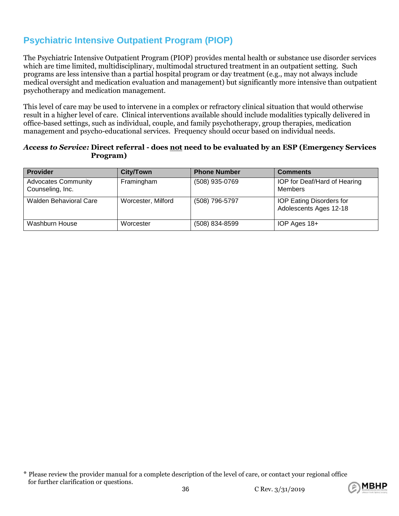# **Psychiatric Intensive Outpatient Program (PIOP)**

The Psychiatric Intensive Outpatient Program (PIOP) provides mental health or substance use disorder services which are time limited, multidisciplinary, multimodal structured treatment in an outpatient setting. Such programs are less intensive than a partial hospital program or day treatment (e.g., may not always include medical oversight and medication evaluation and management) but significantly more intensive than outpatient psychotherapy and medication management.

This level of care may be used to intervene in a complex or refractory clinical situation that would otherwise result in a higher level of care. Clinical interventions available should include modalities typically delivered in office-based settings, such as individual, couple, and family psychotherapy, group therapies, medication management and psycho-educational services. Frequency should occur based on individual needs.

#### *Access to Service:* **Direct referral - does not need to be evaluated by an ESP (Emergency Services Program)**

| Provider                                       | <b>City/Town</b>   | <b>Phone Number</b> | <b>Comments</b>                                           |
|------------------------------------------------|--------------------|---------------------|-----------------------------------------------------------|
| <b>Advocates Community</b><br>Counseling, Inc. | Framingham         | (508) 935-0769      | IOP for Deaf/Hard of Hearing<br>Members                   |
| Walden Behavioral Care                         | Worcester, Milford | (508) 796-5797      | <b>IOP Eating Disorders for</b><br>Adolescents Ages 12-18 |
| Washburn House                                 | Worcester          | (508) 834-8599      | IOP Ages 18+                                              |



<sup>\*</sup> Please review the provider manual for a complete description of the level of care, or contact your regional office for further clarification or questions.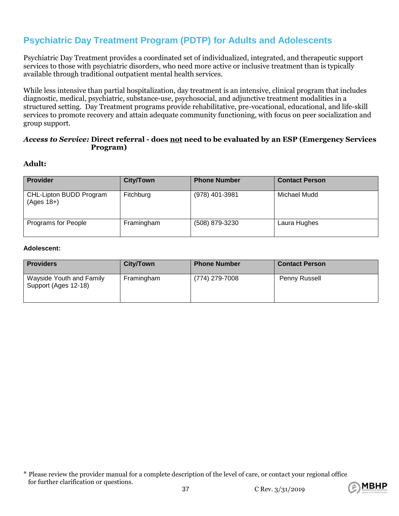# **Psychiatric Day Treatment Program (PDTP) for Adults and Adolescents**

Psychiatric Day Treatment provides a coordinated set of individualized, integrated, and therapeutic support services to those with psychiatric disorders, who need more active or inclusive treatment than is typically available through traditional outpatient mental health services.

While less intensive than partial hospitalization, day treatment is an intensive, clinical program that includes diagnostic, medical, psychiatric, substance-use, psychosocial, and adjunctive treatment modalities in a structured setting. Day Treatment programs provide rehabilitative, pre-vocational, educational, and life-skill services to promote recovery and attain adequate community functioning, with focus on peer socialization and group support.

#### *Access to Service:* **Direct referral - does not need to be evaluated by an ESP (Emergency Services Program)**

#### **Adult:**

| <b>Provider</b>                         | <b>City/Town</b> | <b>Phone Number</b> | <b>Contact Person</b> |
|-----------------------------------------|------------------|---------------------|-----------------------|
| CHL-Lipton BUDD Program<br>$(Ages 18+)$ | Fitchburg        | (978) 401-3981      | Michael Mudd          |
| Programs for People                     | Framingham       | (508) 879-3230      | Laura Hughes          |

#### **Adolescent:**

| <b>Providers</b>                                 | <b>City/Town</b> | <b>Phone Number</b> | <b>Contact Person</b> |
|--------------------------------------------------|------------------|---------------------|-----------------------|
| Wayside Youth and Family<br>Support (Ages 12-18) | Framingham       | (774) 279-7008      | <b>Penny Russell</b>  |



<sup>\*</sup> Please review the provider manual for a complete description of the level of care, or contact your regional office for further clarification or questions.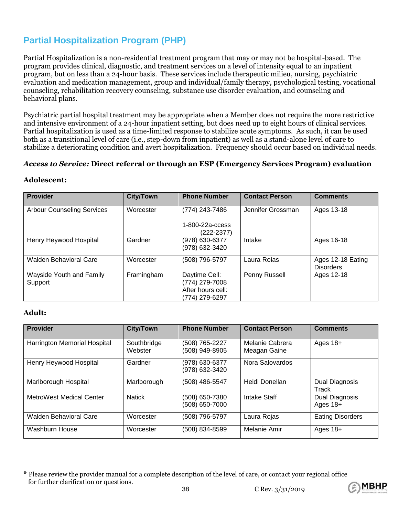# **Partial Hospitalization Program (PHP)**

Partial Hospitalization is a non-residential treatment program that may or may not be hospital-based. The program provides clinical, diagnostic, and treatment services on a level of intensity equal to an inpatient program, but on less than a 24-hour basis. These services include therapeutic milieu, nursing, psychiatric evaluation and medication management, group and individual/family therapy, psychological testing, vocational counseling, rehabilitation recovery counseling, substance use disorder evaluation, and counseling and behavioral plans.

Psychiatric partial hospital treatment may be appropriate when a Member does not require the more restrictive and intensive environment of a 24-hour inpatient setting, but does need up to eight hours of clinical services. Partial hospitalization is used as a time-limited response to stabilize acute symptoms. As such, it can be used both as a transitional level of care (i.e., step-down from inpatient) as well as a stand-alone level of care to stabilize a deteriorating condition and avert hospitalization. Frequency should occur based on individual needs.

#### *Access to Service:* **Direct referral or through an ESP (Emergency Services Program) evaluation**

#### **Adolescent:**

| <b>Provider</b>                            | <b>City/Town</b> | <b>Phone Number</b>                                                    | <b>Contact Person</b> | <b>Comments</b>                       |
|--------------------------------------------|------------------|------------------------------------------------------------------------|-----------------------|---------------------------------------|
| <b>Arbour Counseling Services</b>          | Worcester        | (774) 243-7486                                                         | Jennifer Grossman     | Ages 13-18                            |
|                                            |                  | 1-800-22a-ccess<br>$(222 - 2377)$                                      |                       |                                       |
| Henry Heywood Hospital                     | Gardner          | (978) 630-6377<br>(978) 632-3420                                       | Intake                | Ages 16-18                            |
| Walden Behavioral Care                     | Worcester        | (508) 796-5797                                                         | Laura Roias           | Ages 12-18 Eating<br><b>Disorders</b> |
| <b>Wayside Youth and Family</b><br>Support | Framingham       | Daytime Cell:<br>(774) 279-7008<br>After hours cell:<br>(774) 279-6297 | Penny Russell         | Ages 12-18                            |

#### **Adult:**

| <b>Provider</b>               | <b>City/Town</b>       | <b>Phone Number</b>              | <b>Contact Person</b>           | <b>Comments</b>              |
|-------------------------------|------------------------|----------------------------------|---------------------------------|------------------------------|
| Harrington Memorial Hospital  | Southbridge<br>Webster | (508) 765-2227<br>(508) 949-8905 | Melanie Cabrera<br>Meagan Gaine | Ages $18+$                   |
| Henry Heywood Hospital        | Gardner                | (978) 630-6377<br>(978) 632-3420 | Nora Salovardos                 |                              |
| Marlborough Hospital          | Marlborough            | (508) 486-5547                   | Heidi Donellan                  | Dual Diagnosis<br>Track      |
| MetroWest Medical Center      | <b>Natick</b>          | (508) 650-7380<br>(508) 650-7000 | <b>Intake Staff</b>             | Dual Diagnosis<br>Ages $18+$ |
| <b>Walden Behavioral Care</b> | Worcester              | (508) 796-5797                   | Laura Rojas                     | <b>Eating Disorders</b>      |
| Washburn House                | Worcester              | (508) 834-8599                   | Melanie Amir                    | Ages $18+$                   |

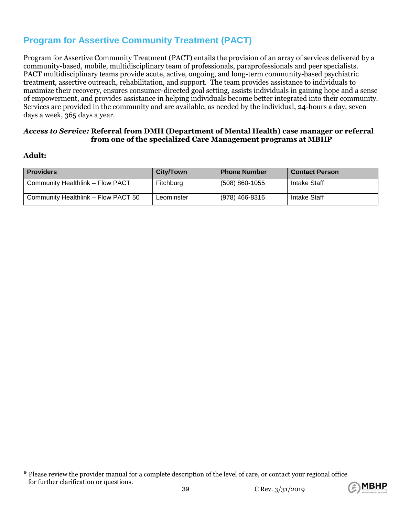## **Program for Assertive Community Treatment (PACT)**

Program for Assertive Community Treatment (PACT) entails the provision of an array of services delivered by a community-based, mobile, multidisciplinary team of professionals, paraprofessionals and peer specialists. PACT multidisciplinary teams provide acute, active, ongoing, and long-term community-based psychiatric treatment, assertive outreach, rehabilitation, and support. The team provides assistance to individuals to maximize their recovery, ensures consumer-directed goal setting, assists individuals in gaining hope and a sense of empowerment, and provides assistance in helping individuals become better integrated into their community. Services are provided in the community and are available, as needed by the individual, 24-hours a day, seven days a week, 365 days a year.

#### *Access to Service:* **Referral from DMH (Department of Mental Health) case manager or referral from one of the specialized Care Management programs at MBHP**

#### **Adult:**

| <b>Providers</b>                    | <b>City/Town</b> | <b>Phone Number</b> | <b>Contact Person</b> |
|-------------------------------------|------------------|---------------------|-----------------------|
| Community Healthlink - Flow PACT    | Fitchburg        | (508) 860-1055      | <b>Intake Staff</b>   |
| Community Healthlink - Flow PACT 50 | Leominster       | (978) 466-8316      | <b>Intake Staff</b>   |



<sup>\*</sup> Please review the provider manual for a complete description of the level of care, or contact your regional office for further clarification or questions.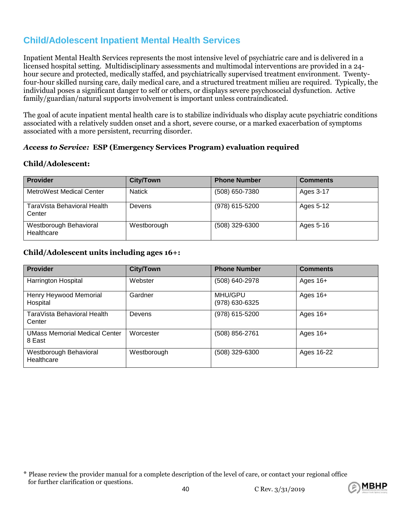## **Child/Adolescent Inpatient Mental Health Services**

Inpatient Mental Health Services represents the most intensive level of psychiatric care and is delivered in a licensed hospital setting. Multidisciplinary assessments and multimodal interventions are provided in a 24 hour secure and protected, medically staffed, and psychiatrically supervised treatment environment. Twentyfour-hour skilled nursing care, daily medical care, and a structured treatment milieu are required. Typically, the individual poses a significant danger to self or others, or displays severe psychosocial dysfunction. Active family/guardian/natural supports involvement is important unless contraindicated.

The goal of acute inpatient mental health care is to stabilize individuals who display acute psychiatric conditions associated with a relatively sudden onset and a short, severe course, or a marked exacerbation of symptoms associated with a more persistent, recurring disorder.

#### *Access to Service:* **ESP (Emergency Services Program) evaluation required**

### **Child/Adolescent:**

| <b>Provider</b>                       | <b>City/Town</b> | <b>Phone Number</b> | <b>Comments</b> |
|---------------------------------------|------------------|---------------------|-----------------|
| MetroWest Medical Center              | <b>Natick</b>    | (508) 650-7380      | Ages 3-17       |
| TaraVista Behavioral Health<br>Center | Devens           | (978) 615-5200      | Ages 5-12       |
| Westborough Behavioral<br>Healthcare  | Westborough      | (508) 329-6300      | Ages 5-16       |

### **Child/Adolescent units including ages 16+:**

| <b>Provider</b>                                | <b>City/Town</b> | <b>Phone Number</b>       | <b>Comments</b> |
|------------------------------------------------|------------------|---------------------------|-----------------|
| Harrington Hospital                            | Webster          | (508) 640-2978            | Ages $16+$      |
| Henry Heywood Memorial<br>Hospital             | Gardner          | MHU/GPU<br>(978) 630-6325 | Ages $16+$      |
| TaraVista Behavioral Health<br>Center          | Devens           | (978) 615-5200            | Ages $16+$      |
| <b>UMass Memorial Medical Center</b><br>8 East | Worcester        | (508) 856-2761            | Ages $16+$      |
| Westborough Behavioral<br>Healthcare           | Westborough      | (508) 329-6300            | Ages 16-22      |



<sup>\*</sup> Please review the provider manual for a complete description of the level of care, or contact your regional office for further clarification or questions.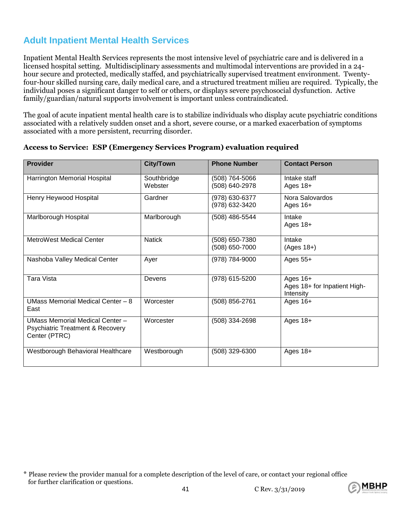## **Adult Inpatient Mental Health Services**

Inpatient Mental Health Services represents the most intensive level of psychiatric care and is delivered in a licensed hospital setting. Multidisciplinary assessments and multimodal interventions are provided in a 24 hour secure and protected, medically staffed, and psychiatrically supervised treatment environment. Twentyfour-hour skilled nursing care, daily medical care, and a structured treatment milieu are required. Typically, the individual poses a significant danger to self or others, or displays severe psychosocial dysfunction. Active family/guardian/natural supports involvement is important unless contraindicated.

The goal of acute inpatient mental health care is to stabilize individuals who display acute psychiatric conditions associated with a relatively sudden onset and a short, severe course, or a marked exacerbation of symptoms associated with a more persistent, recurring disorder.

| <b>Provider</b>                                                                                        | <b>City/Town</b>       | <b>Phone Number</b>              | <b>Contact Person</b>                                   |
|--------------------------------------------------------------------------------------------------------|------------------------|----------------------------------|---------------------------------------------------------|
| Harrington Memorial Hospital                                                                           | Southbridge<br>Webster | (508) 764-5066<br>(508) 640-2978 | Intake staff<br>Ages $18+$                              |
| Henry Heywood Hospital                                                                                 | Gardner                | (978) 630-6377<br>(978) 632-3420 | Nora Salovardos<br>Ages 16+                             |
| Marlborough Hospital                                                                                   | Marlborough            | (508) 486-5544                   | Intake<br>Ages 18+                                      |
| <b>MetroWest Medical Center</b>                                                                        | <b>Natick</b>          | (508) 650-7380<br>(508) 650-7000 | Intake<br>$(Ages 18+)$                                  |
| Nashoba Valley Medical Center                                                                          | Ayer                   | (978) 784-9000                   | Ages $55+$                                              |
| Tara Vista                                                                                             | Devens                 | (978) 615-5200                   | Ages $16+$<br>Ages 18+ for Inpatient High-<br>Intensity |
| UMass Memorial Medical Center - 8<br>East                                                              | Worcester              | (508) 856-2761                   | Ages $16+$                                              |
| <b>UMass Memorial Medical Center -</b><br><b>Psychiatric Treatment &amp; Recovery</b><br>Center (PTRC) | Worcester              | (508) 334-2698                   | Ages $18+$                                              |
| Westborough Behavioral Healthcare                                                                      | Westborough            | (508) 329-6300                   | Ages $18+$                                              |

#### **Access to Service: ESP (Emergency Services Program) evaluation required**



<sup>\*</sup> Please review the provider manual for a complete description of the level of care, or contact your regional office for further clarification or questions.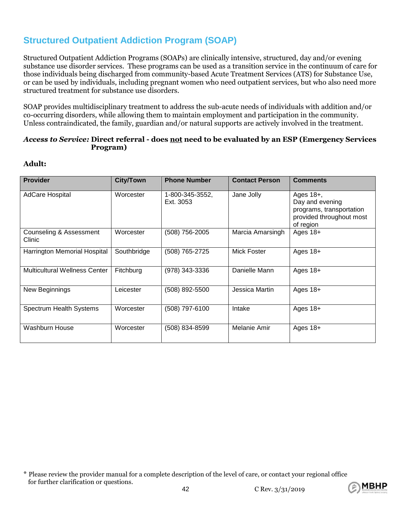# **Structured Outpatient Addiction Program (SOAP)**

Structured Outpatient Addiction Programs (SOAPs) are clinically intensive, structured, day and/or evening substance use disorder services. These programs can be used as a transition service in the continuum of care for those individuals being discharged from community-based Acute Treatment Services (ATS) for Substance Use, or can be used by individuals, including pregnant women who need outpatient services, but who also need more structured treatment for substance use disorders.

SOAP provides multidisciplinary treatment to address the sub-acute needs of individuals with addition and/or co-occurring disorders, while allowing them to maintain employment and participation in the community. Unless contraindicated, the family, guardian and/or natural supports are actively involved in the treatment.

#### *Access to Service:* **Direct referral - does not need to be evaluated by an ESP (Emergency Services Program)**

#### **Adult:**

| <b>Provider</b>                      | <b>City/Town</b> | <b>Phone Number</b>          | <b>Contact Person</b> | <b>Comments</b>                                                                                   |
|--------------------------------------|------------------|------------------------------|-----------------------|---------------------------------------------------------------------------------------------------|
| <b>AdCare Hospital</b>               | Worcester        | 1-800-345-3552,<br>Ext. 3053 | Jane Jolly            | Ages 18+,<br>Day and evening<br>programs, transportation<br>provided throughout most<br>of region |
| Counseling & Assessment<br>Clinic    | Worcester        | (508) 756-2005               | Marcia Amarsingh      | Ages 18+                                                                                          |
| Harrington Memorial Hospital         | Southbridge      | (508) 765-2725               | Mick Foster           | Ages $18+$                                                                                        |
| <b>Multicultural Wellness Center</b> | Fitchburg        | (978) 343-3336               | Danielle Mann         | Ages $18+$                                                                                        |
| New Beginnings                       | Leicester        | (508) 892-5500               | Jessica Martin        | Ages $18+$                                                                                        |
| Spectrum Health Systems              | Worcester        | (508) 797-6100               | Intake                | Ages $18+$                                                                                        |
| Washburn House                       | Worcester        | (508) 834-8599               | Melanie Amir          | Ages $18+$                                                                                        |



<sup>\*</sup> Please review the provider manual for a complete description of the level of care, or contact your regional office for further clarification or questions.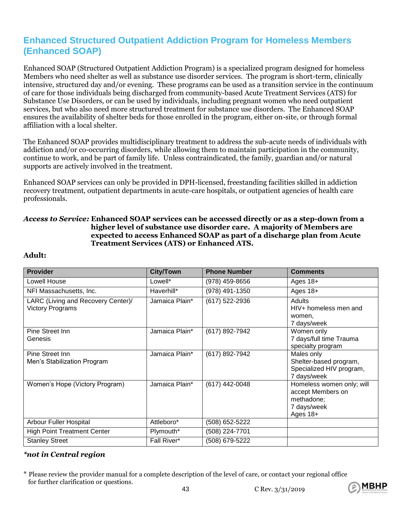### **Enhanced Structured Outpatient Addiction Program for Homeless Members (Enhanced SOAP)**

Enhanced SOAP (Structured Outpatient Addiction Program) is a specialized program designed for homeless Members who need shelter as well as substance use disorder services. The program is short-term, clinically intensive, structured day and/or evening. These programs can be used as a transition service in the continuum of care for those individuals being discharged from community-based Acute Treatment Services (ATS) for Substance Use Disorders, or can be used by individuals, including pregnant women who need outpatient services, but who also need more structured treatment for substance use disorders. The Enhanced SOAP ensures the availability of shelter beds for those enrolled in the program, either on-site, or through formal affiliation with a local shelter.

The Enhanced SOAP provides multidisciplinary treatment to address the sub-acute needs of individuals with addiction and/or co-occurring disorders, while allowing them to maintain participation in the community, continue to work, and be part of family life. Unless contraindicated, the family, guardian and/or natural supports are actively involved in the treatment.

Enhanced SOAP services can only be provided in DPH-licensed, freestanding facilities skilled in addiction recovery treatment, outpatient departments in acute-care hospitals, or outpatient agencies of health care professionals.

#### *Access to Service:* **Enhanced SOAP services can be accessed directly or as a step-down from a higher level of substance use disorder care. A majority of Members are expected to access Enhanced SOAP as part of a discharge plan from Acute Treatment Services (ATS) or Enhanced ATS.**

| <b>Provider</b>                                               | <b>City/Town</b> | <b>Phone Number</b> | <b>Comments</b>                                                                         |
|---------------------------------------------------------------|------------------|---------------------|-----------------------------------------------------------------------------------------|
| Lowell House                                                  | Lowell*          | (978) 459-8656      | Ages $18+$                                                                              |
| NFI Massachusetts, Inc.                                       | Haverhill*       | (978) 491-1350      | Ages $18+$                                                                              |
| LARC (Living and Recovery Center)/<br><b>Victory Programs</b> | Jamaica Plain*   | (617) 522-2936      | <b>Adults</b><br>HIV+ homeless men and<br>women,<br>7 days/week                         |
| Pine Street Inn<br>Genesis                                    | Jamaica Plain*   | (617) 892-7942      | Women only<br>7 days/full time Trauma<br>specialty program                              |
| Pine Street Inn<br>Men's Stabilization Program                | Jamaica Plain*   | (617) 892-7942      | Males only<br>Shelter-based program,<br>Specialized HIV program,<br>7 days/week         |
| Women's Hope (Victory Program)                                | Jamaica Plain*   | (617) 442-0048      | Homeless women only; will<br>accept Members on<br>methadone;<br>7 days/week<br>Ages 18+ |
| Arbour Fuller Hospital                                        | Attleboro*       | (508) 652-5222      |                                                                                         |
| <b>High Point Treatment Center</b>                            | Plymouth*        | (508) 224-7701      |                                                                                         |
| <b>Stanley Street</b>                                         | Fall River*      | (508) 679-5222      |                                                                                         |

### **Adult:**

### *\*not in Central region*

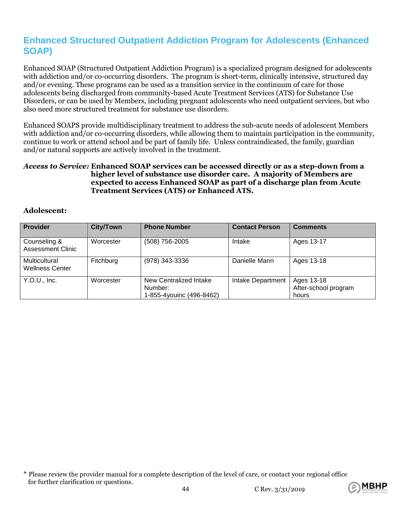### **Enhanced Structured Outpatient Addiction Program for Adolescents (Enhanced SOAP)**

Enhanced SOAP (Structured Outpatient Addiction Program) is a specialized program designed for adolescents with addiction and/or co-occurring disorders. The program is short-term, clinically intensive, structured day and/or evening. These programs can be used as a transition service in the continuum of care for those adolescents being discharged from community-based Acute Treatment Services (ATS) for Substance Use Disorders, or can be used by Members, including pregnant adolescents who need outpatient services, but who also need more structured treatment for substance use disorders.

Enhanced SOAPS provide multidisciplinary treatment to address the sub-acute needs of adolescent Members with addiction and/or co-occurring disorders, while allowing them to maintain participation in the community, continue to work or attend school and be part of family life. Unless contraindicated, the family, guardian and/or natural supports are actively involved in the treatment.

#### *Access to Service:* **Enhanced SOAP services can be accessed directly or as a step-down from a higher level of substance use disorder care. A majority of Members are expected to access Enhanced SOAP as part of a discharge plan from Acute Treatment Services (ATS) or Enhanced ATS.**

| <b>Provider</b>                          | <b>City/Town</b> | <b>Phone Number</b>                                           | <b>Contact Person</b> | <b>Comments</b>                             |
|------------------------------------------|------------------|---------------------------------------------------------------|-----------------------|---------------------------------------------|
| Counseling &<br><b>Assessment Clinic</b> | Worcester        | (508) 756-2005                                                | <b>Intake</b>         | Ages 13-17                                  |
| Multicultural<br><b>Wellness Center</b>  | Fitchburg        | (978) 343-3336                                                | Danielle Mann         | Ages 13-18                                  |
| Y.0.U., Inc.                             | Worcester        | New Centralized Intake<br>Number:<br>1-855-4youinc (496-8462) | Intake Department     | Ages 13-18<br>After-school program<br>hours |

#### **Adolescent:**



<sup>\*</sup> Please review the provider manual for a complete description of the level of care, or contact your regional office for further clarification or questions.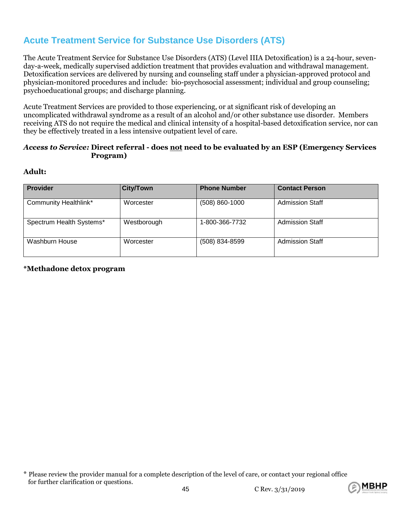# **Acute Treatment Service for Substance Use Disorders (ATS)**

The Acute Treatment Service for Substance Use Disorders (ATS) (Level IIIA Detoxification) is a 24-hour, sevenday-a-week, medically supervised addiction treatment that provides evaluation and withdrawal management. Detoxification services are delivered by nursing and counseling staff under a physician-approved protocol and physician-monitored procedures and include: bio-psychosocial assessment; individual and group counseling; psychoeducational groups; and discharge planning.

Acute Treatment Services are provided to those experiencing, or at significant risk of developing an uncomplicated withdrawal syndrome as a result of an alcohol and/or other substance use disorder. Members receiving ATS do not require the medical and clinical intensity of a hospital-based detoxification service, nor can they be effectively treated in a less intensive outpatient level of care.

#### *Access to Service:* **Direct referral - does not need to be evaluated by an ESP (Emergency Services Program)**

### **Adult:**

| <b>Provider</b>          | <b>City/Town</b> | <b>Phone Number</b> | <b>Contact Person</b>  |
|--------------------------|------------------|---------------------|------------------------|
| Community Healthlink*    | Worcester        | $(508) 860 - 1000$  | <b>Admission Staff</b> |
| Spectrum Health Systems* | Westborough      | 1-800-366-7732      | <b>Admission Staff</b> |
| Washburn House           | Worcester        | (508) 834-8599      | <b>Admission Staff</b> |

#### **\*Methadone detox program**



<sup>\*</sup> Please review the provider manual for a complete description of the level of care, or contact your regional office for further clarification or questions.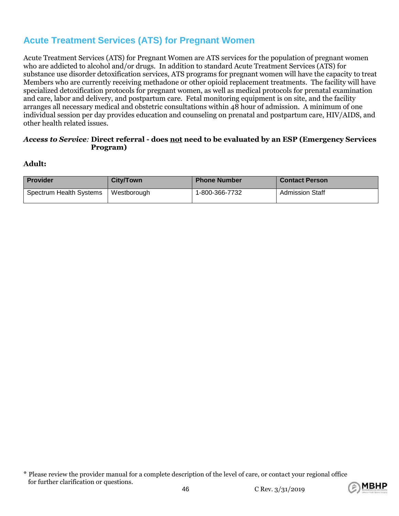## **Acute Treatment Services (ATS) for Pregnant Women**

Acute Treatment Services (ATS) for Pregnant Women are ATS services for the population of pregnant women who are addicted to alcohol and/or drugs. In addition to standard Acute Treatment Services (ATS) for substance use disorder detoxification services, ATS programs for pregnant women will have the capacity to treat Members who are currently receiving methadone or other opioid replacement treatments. The facility will have specialized detoxification protocols for pregnant women, as well as medical protocols for prenatal examination and care, labor and delivery, and postpartum care. Fetal monitoring equipment is on site, and the facility arranges all necessary medical and obstetric consultations within 48 hour of admission. A minimum of one individual session per day provides education and counseling on prenatal and postpartum care, HIV/AIDS, and other health related issues.

#### *Access to Service:* **Direct referral - does not need to be evaluated by an ESP (Emergency Services Program)**

#### **Adult:**

| <b>Provider</b>         | <b>City/Town</b> | <b>Phone Number</b> | <b>Contact Person</b>  |
|-------------------------|------------------|---------------------|------------------------|
| Spectrum Health Systems | Westborough      | 1-800-366-7732      | <b>Admission Staff</b> |



<sup>\*</sup> Please review the provider manual for a complete description of the level of care, or contact your regional office for further clarification or questions.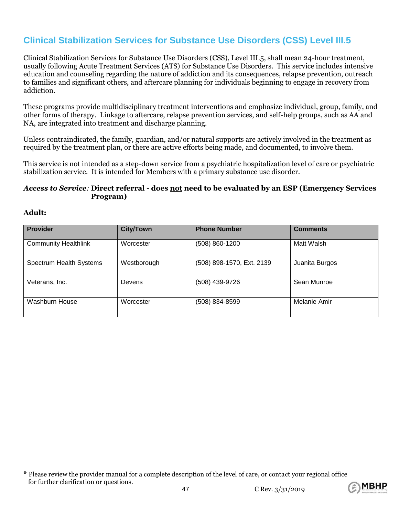## **Clinical Stabilization Services for Substance Use Disorders (CSS) Level III.5**

Clinical Stabilization Services for Substance Use Disorders (CSS), Level III.5, shall mean 24-hour treatment, usually following Acute Treatment Services (ATS) for Substance Use Disorders. This service includes intensive education and counseling regarding the nature of addiction and its consequences, relapse prevention, outreach to families and significant others, and aftercare planning for individuals beginning to engage in recovery from addiction.

These programs provide multidisciplinary treatment interventions and emphasize individual, group, family, and other forms of therapy. Linkage to aftercare, relapse prevention services, and self-help groups, such as AA and NA, are integrated into treatment and discharge planning.

Unless contraindicated, the family, guardian, and/or natural supports are actively involved in the treatment as required by the treatment plan, or there are active efforts being made, and documented, to involve them.

This service is not intended as a step-down service from a psychiatric hospitalization level of care or psychiatric stabilization service. It is intended for Members with a primary substance use disorder.

#### *Access to Service:* **Direct referral - does not need to be evaluated by an ESP (Emergency Services Program)**

#### **Adult:**

| <b>Provider</b>             | <b>City/Town</b> | <b>Phone Number</b>       | <b>Comments</b> |
|-----------------------------|------------------|---------------------------|-----------------|
| <b>Community Healthlink</b> | Worcester        | (508) 860-1200            | Matt Walsh      |
| Spectrum Health Systems     | Westborough      | (508) 898-1570, Ext. 2139 | Juanita Burgos  |
| Veterans, Inc.              | <b>Devens</b>    | (508) 439-9726            | Sean Munroe     |
| Washburn House              | Worcester        | (508) 834-8599            | Melanie Amir    |



<sup>\*</sup> Please review the provider manual for a complete description of the level of care, or contact your regional office for further clarification or questions.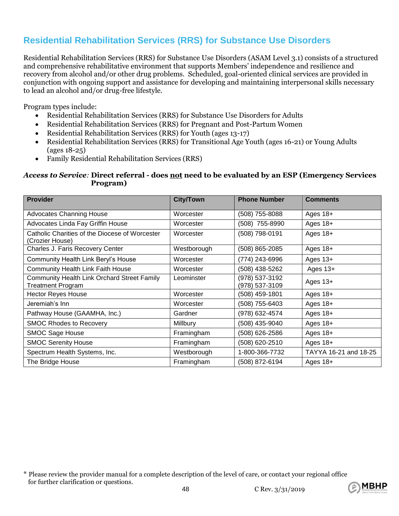## **Residential Rehabilitation Services (RRS) for Substance Use Disorders**

Residential Rehabilitation Services (RRS) for Substance Use Disorders (ASAM Level 3.1) consists of a structured and comprehensive rehabilitative environment that supports Members' independence and resilience and recovery from alcohol and/or other drug problems. Scheduled, goal-oriented clinical services are provided in conjunction with ongoing support and assistance for developing and maintaining interpersonal skills necessary to lead an alcohol and/or drug-free lifestyle.

Program types include:

- Residential Rehabilitation Services (RRS) for Substance Use Disorders for Adults
- Residential Rehabilitation Services (RRS) for Pregnant and Post-Partum Women
- Residential Rehabilitation Services (RRS) for Youth (ages 13-17)
- Residential Rehabilitation Services (RRS) for Transitional Age Youth (ages 16-21) or Young Adults (ages 18-25)
- Family Residential Rehabilitation Services (RRS)

#### *Access to Service:* **Direct referral - does not need to be evaluated by an ESP (Emergency Services Program)**

| <b>Provider</b>                                                         | <b>City/Town</b> | <b>Phone Number</b>              | <b>Comments</b>       |
|-------------------------------------------------------------------------|------------------|----------------------------------|-----------------------|
| <b>Advocates Channing House</b>                                         | Worcester        | (508) 755-8088                   | Ages $18+$            |
| Advocates Linda Fay Griffin House                                       | Worcester        | (508) 755-8990                   | Ages $18+$            |
| Catholic Charities of the Diocese of Worcester<br>(Crozier House)       | Worcester        | (508) 798-0191                   | Ages $18+$            |
| Charles J. Faris Recovery Center                                        | Westborough      | (508) 865-2085                   | Ages 18+              |
| Community Health Link Beryl's House                                     | Worcester        | (774) 243-6996                   | Ages $13+$            |
| <b>Community Health Link Faith House</b>                                | Worcester        | (508) 438-5262                   | Ages $13+$            |
| Community Health Link Orchard Street Family<br><b>Treatment Program</b> | Leominster       | (978) 537-3192<br>(978) 537-3109 | Ages $13+$            |
| <b>Hector Reyes House</b>                                               | Worcester        | (508) 459-1801                   | Ages $18+$            |
| Jeremiah's Inn                                                          | Worcester        | (508) 755-6403                   | Ages $18+$            |
| Pathway House (GAAMHA, Inc.)                                            | Gardner          | (978) 632-4574                   | Ages $18+$            |
| <b>SMOC Rhodes to Recovery</b>                                          | <b>Millbury</b>  | (508) 435-9040                   | Ages $18+$            |
| <b>SMOC Sage House</b>                                                  | Framingham       | (508) 626-2586                   | Ages $18+$            |
| <b>SMOC Serenity House</b>                                              | Framingham       | (508) 620-2510                   | Ages $18+$            |
| Spectrum Health Systems, Inc.                                           | Westborough      | 1-800-366-7732                   | TAYYA 16-21 and 18-25 |
| The Bridge House                                                        | Framingham       | (508) 872-6194                   | Ages $18+$            |



<sup>\*</sup> Please review the provider manual for a complete description of the level of care, or contact your regional office for further clarification or questions.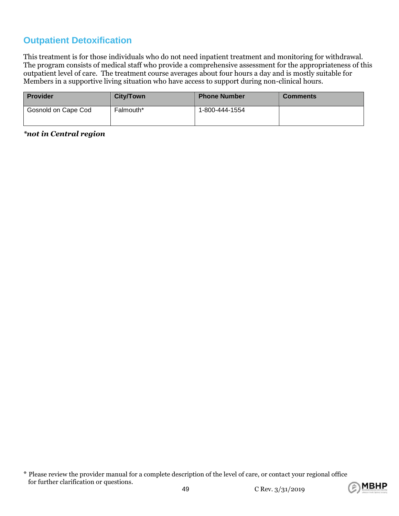### **Outpatient Detoxification**

This treatment is for those individuals who do not need inpatient treatment and monitoring for withdrawal. The program consists of medical staff who provide a comprehensive assessment for the appropriateness of this outpatient level of care. The treatment course averages about four hours a day and is mostly suitable for Members in a supportive living situation who have access to support during non-clinical hours.

| Provider            | City/Town | <b>Phone Number</b> | <b>Comments</b> |
|---------------------|-----------|---------------------|-----------------|
| Gosnold on Cape Cod | Falmouth* | 1-800-444-1554      |                 |

#### *\*not in Central region*



<sup>\*</sup> Please review the provider manual for a complete description of the level of care, or contact your regional office for further clarification or questions.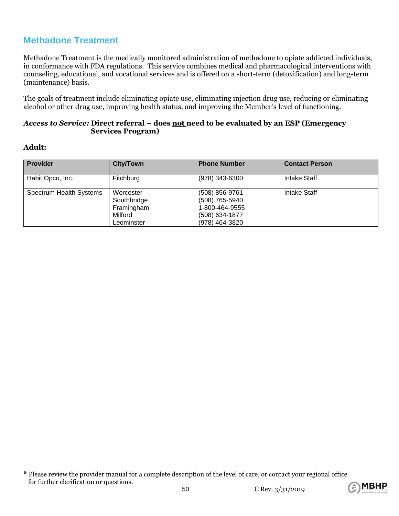### **Methadone Treatment**

Methadone Treatment is the medically monitored administration of methadone to opiate addicted individuals, in conformance with FDA regulations. This service combines medical and pharmacological interventions with counseling, educational, and vocational services and is offered on a short-term (detoxification) and long-term (maintenance) basis.

The goals of treatment include eliminating opiate use, eliminating injection drug use, reducing or eliminating alcohol or other drug use, improving health status, and improving the Member's level of functioning.

#### *Access to Service:* **Direct referral – does not need to be evaluated by an ESP (Emergency Services Program)**

#### **Adult:**

| Provider                | <b>City/Town</b>                                                | <b>Phone Number</b>                                                                      | <b>Contact Person</b> |
|-------------------------|-----------------------------------------------------------------|------------------------------------------------------------------------------------------|-----------------------|
| Habit Opco, Inc.        | Fitchburg                                                       | (978) 343-6300                                                                           | Intake Staff          |
| Spectrum Health Systems | Worcester<br>Southbridge<br>Framingham<br>Milford<br>Leominster | (508) 856-9761<br>(508) 765-5940<br>1-800-464-9555<br>$(508)$ 634-1877<br>(978) 464-3820 | Intake Staff          |



<sup>\*</sup> Please review the provider manual for a complete description of the level of care, or contact your regional office for further clarification or questions.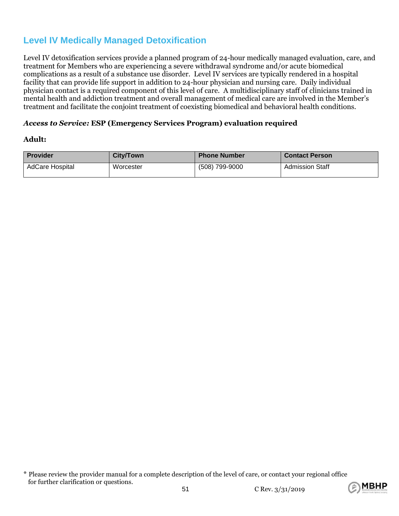## **Level IV Medically Managed Detoxification**

Level IV detoxification services provide a planned program of 24-hour medically managed evaluation, care, and treatment for Members who are experiencing a severe withdrawal syndrome and/or acute biomedical complications as a result of a substance use disorder. Level IV services are typically rendered in a hospital facility that can provide life support in addition to 24-hour physician and nursing care. Daily individual physician contact is a required component of this level of care. A multidisciplinary staff of clinicians trained in mental health and addiction treatment and overall management of medical care are involved in the Member's treatment and facilitate the conjoint treatment of coexisting biomedical and behavioral health conditions.

#### *Access to Service:* **ESP (Emergency Services Program) evaluation required**

#### **Adult:**

| <b>Provider</b>        | City/Town | <b>Phone Number</b> | <b>Contact Person</b>  |
|------------------------|-----------|---------------------|------------------------|
| <b>AdCare Hospital</b> | Worcester | (508) 799-9000      | <b>Admission Staff</b> |



<sup>\*</sup> Please review the provider manual for a complete description of the level of care, or contact your regional office for further clarification or questions.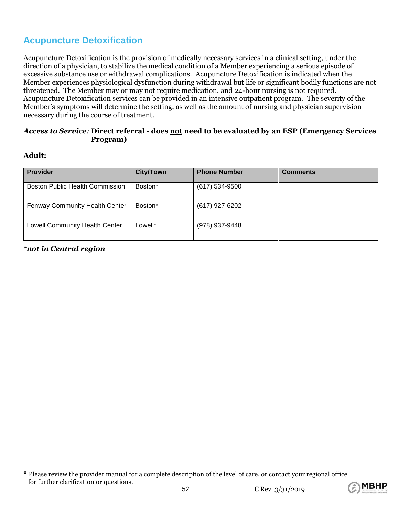### **Acupuncture Detoxification**

Acupuncture Detoxification is the provision of medically necessary services in a clinical setting, under the direction of a physician, to stabilize the medical condition of a Member experiencing a serious episode of excessive substance use or withdrawal complications. Acupuncture Detoxification is indicated when the Member experiences physiological dysfunction during withdrawal but life or significant bodily functions are not threatened. The Member may or may not require medication, and 24-hour nursing is not required. Acupuncture Detoxification services can be provided in an intensive outpatient program. The severity of the Member's symptoms will determine the setting, as well as the amount of nursing and physician supervision necessary during the course of treatment.

#### *Access to Service:* **Direct referral - does not need to be evaluated by an ESP (Emergency Services Program)**

#### **Adult:**

| <b>Provider</b>                        | <b>City/Town</b> | <b>Phone Number</b> | <b>Comments</b> |
|----------------------------------------|------------------|---------------------|-----------------|
| <b>Boston Public Health Commission</b> | Boston*          | $(617) 534 - 9500$  |                 |
| Fenway Community Health Center         | Boston*          | (617) 927-6202      |                 |
| Lowell Community Health Center         | Lowell*          | (978) 937-9448      |                 |

#### *\*not in Central region*



<sup>\*</sup> Please review the provider manual for a complete description of the level of care, or contact your regional office for further clarification or questions.